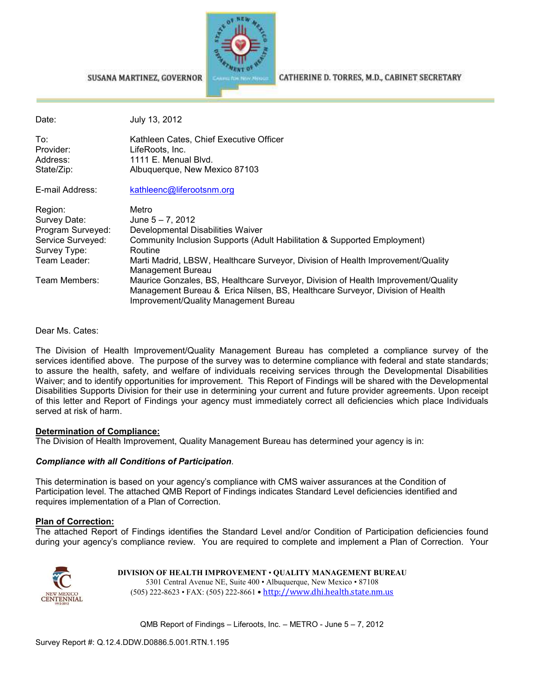

#### SUSANA MARTINEZ, GOVERNOR

CATHERINE D. TORRES, M.D., CABINET SECRETARY

| Date:                                                                                             | July 13, 2012                                                                                                                                                                                                                                                    |
|---------------------------------------------------------------------------------------------------|------------------------------------------------------------------------------------------------------------------------------------------------------------------------------------------------------------------------------------------------------------------|
| To:<br>Provider:<br>Address:<br>State/Zip:                                                        | Kathleen Cates, Chief Executive Officer<br>LifeRoots, Inc.<br>1111 E. Menual Blvd.<br>Albuquerque, New Mexico 87103                                                                                                                                              |
| E-mail Address:                                                                                   | kathleenc@liferootsnm.org                                                                                                                                                                                                                                        |
| Region:<br>Survey Date:<br>Program Surveyed:<br>Service Surveyed:<br>Survey Type:<br>Team Leader: | Metro<br>June $5 - 7$ , 2012<br>Developmental Disabilities Waiver<br>Community Inclusion Supports (Adult Habilitation & Supported Employment)<br>Routine<br>Marti Madrid, LBSW, Healthcare Surveyor, Division of Health Improvement/Quality<br>Management Bureau |
| Team Members:                                                                                     | Maurice Gonzales, BS, Healthcare Surveyor, Division of Health Improvement/Quality<br>Management Bureau & Erica Nilsen, BS, Healthcare Surveyor, Division of Health<br>Improvement/Quality Management Bureau                                                      |

Dear Ms. Cates:

The Division of Health Improvement/Quality Management Bureau has completed a compliance survey of the services identified above. The purpose of the survey was to determine compliance with federal and state standards; to assure the health, safety, and welfare of individuals receiving services through the Developmental Disabilities Waiver; and to identify opportunities for improvement. This Report of Findings will be shared with the Developmental Disabilities Supports Division for their use in determining your current and future provider agreements. Upon receipt of this letter and Report of Findings your agency must immediately correct all deficiencies which place Individuals served at risk of harm.

#### **Determination of Compliance:**

The Division of Health Improvement, Quality Management Bureau has determined your agency is in:

#### *Compliance with all Conditions of Participation*.

This determination is based on your agency's compliance with CMS waiver assurances at the Condition of Participation level. The attached QMB Report of Findings indicates Standard Level deficiencies identified and requires implementation of a Plan of Correction.

#### **Plan of Correction:**

The attached Report of Findings identifies the Standard Level and/or Condition of Participation deficiencies found during your agency's compliance review. You are required to complete and implement a Plan of Correction. Your



**DIVISION OF HEALTH IMPROVEMENT** • **QUALITY MANAGEMENT BUREAU** 5301 Central Avenue NE, Suite 400 • Albuquerque, New Mexico • 87108 (505) 222-8623 • FAX: (505) 222-8661 • http://www.dhi.health.state.nm.us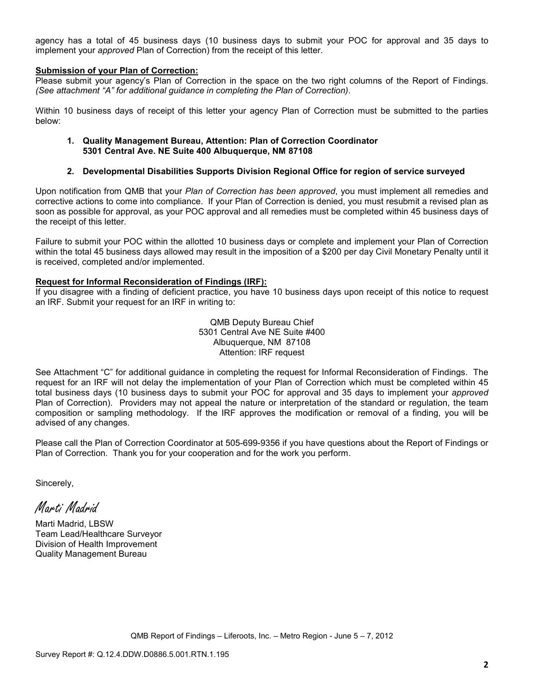agency has a total of 45 business days (10 business days to submit your POC for approval and 35 days to implement your *approved* Plan of Correction) from the receipt of this letter.

#### **Submission of your Plan of Correction:**

Please submit your agency's Plan of Correction in the space on the two right columns of the Report of Findings. *(See attachment "A" for additional guidance in completing the Plan of Correction)*.

Within 10 business days of receipt of this letter your agency Plan of Correction must be submitted to the parties below:

#### **1. Quality Management Bureau, Attention: Plan of Correction Coordinator 5301 Central Ave. NE Suite 400 Albuquerque, NM 87108**

#### **2. Developmental Disabilities Supports Division Regional Office for region of service surveyed**

Upon notification from QMB that your *Plan of Correction has been approved*, you must implement all remedies and corrective actions to come into compliance. If your Plan of Correction is denied, you must resubmit a revised plan as soon as possible for approval, as your POC approval and all remedies must be completed within 45 business days of the receipt of this letter.

Failure to submit your POC within the allotted 10 business days or complete and implement your Plan of Correction within the total 45 business days allowed may result in the imposition of a \$200 per day Civil Monetary Penalty until it is received, completed and/or implemented.

#### **Request for Informal Reconsideration of Findings (IRF):**

If you disagree with a finding of deficient practice, you have 10 business days upon receipt of this notice to request an IRF. Submit your request for an IRF in writing to:

> QMB Deputy Bureau Chief 5301 Central Ave NE Suite #400 Albuquerque, NM 87108 Attention: IRF request

See Attachment "C" for additional guidance in completing the request for Informal Reconsideration of Findings. The request for an IRF will not delay the implementation of your Plan of Correction which must be completed within 45 total business days (10 business days to submit your POC for approval and 35 days to implement your *approved* Plan of Correction). Providers may not appeal the nature or interpretation of the standard or regulation, the team composition or sampling methodology. If the IRF approves the modification or removal of a finding, you will be advised of any changes.

Please call the Plan of Correction Coordinator at 505-699-9356 if you have questions about the Report of Findings or Plan of Correction. Thank you for your cooperation and for the work you perform.

Sincerely,

Marti Madrid

Marti Madrid, LBSW Team Lead/Healthcare Surveyor Division of Health Improvement Quality Management Bureau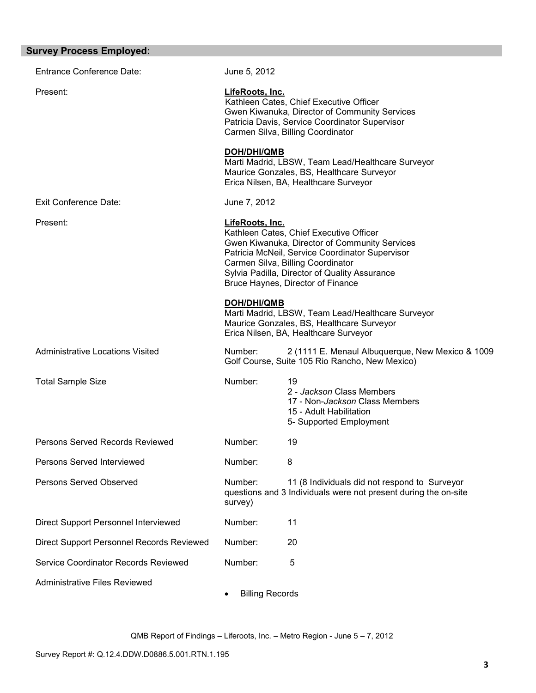| <b>Survey Process Employed:</b>           |                                     |                                                                                                                                                                                                                                                                        |
|-------------------------------------------|-------------------------------------|------------------------------------------------------------------------------------------------------------------------------------------------------------------------------------------------------------------------------------------------------------------------|
| <b>Entrance Conference Date:</b>          | June 5, 2012                        |                                                                                                                                                                                                                                                                        |
| Present:                                  | LifeRoots, Inc.                     | Kathleen Cates, Chief Executive Officer<br>Gwen Kiwanuka, Director of Community Services<br>Patricia Davis, Service Coordinator Supervisor<br>Carmen Silva, Billing Coordinator                                                                                        |
|                                           | DOH/DHI/QMB                         | Marti Madrid, LBSW, Team Lead/Healthcare Surveyor<br>Maurice Gonzales, BS, Healthcare Surveyor<br>Erica Nilsen, BA, Healthcare Surveyor                                                                                                                                |
| <b>Exit Conference Date:</b>              | June 7, 2012                        |                                                                                                                                                                                                                                                                        |
| Present:                                  | LifeRoots, Inc.                     | Kathleen Cates, Chief Executive Officer<br>Gwen Kiwanuka, Director of Community Services<br>Patricia McNeil, Service Coordinator Supervisor<br>Carmen Silva, Billing Coordinator<br>Sylvia Padilla, Director of Quality Assurance<br>Bruce Haynes, Director of Finance |
|                                           | <b>DOH/DHI/QMB</b>                  | Marti Madrid, LBSW, Team Lead/Healthcare Surveyor<br>Maurice Gonzales, BS, Healthcare Surveyor<br>Erica Nilsen, BA, Healthcare Surveyor                                                                                                                                |
| <b>Administrative Locations Visited</b>   | Number:                             | 2 (1111 E. Menaul Albuquerque, New Mexico & 1009<br>Golf Course, Suite 105 Rio Rancho, New Mexico)                                                                                                                                                                     |
| <b>Total Sample Size</b>                  | Number:                             | 19<br>2 - Jackson Class Members<br>17 - Non-Jackson Class Members<br>15 - Adult Habilitation<br>5- Supported Employment                                                                                                                                                |
| Persons Served Records Reviewed           | Number:                             | 19                                                                                                                                                                                                                                                                     |
| Persons Served Interviewed                | Number:                             | 8                                                                                                                                                                                                                                                                      |
| Persons Served Observed                   | Number:<br>survey)                  | 11 (8 Individuals did not respond to Surveyor<br>questions and 3 Individuals were not present during the on-site                                                                                                                                                       |
| Direct Support Personnel Interviewed      | Number:                             | 11                                                                                                                                                                                                                                                                     |
| Direct Support Personnel Records Reviewed | Number:                             | 20                                                                                                                                                                                                                                                                     |
| Service Coordinator Records Reviewed      | Number:                             | 5                                                                                                                                                                                                                                                                      |
| <b>Administrative Files Reviewed</b>      | <b>Billing Records</b><br>$\bullet$ |                                                                                                                                                                                                                                                                        |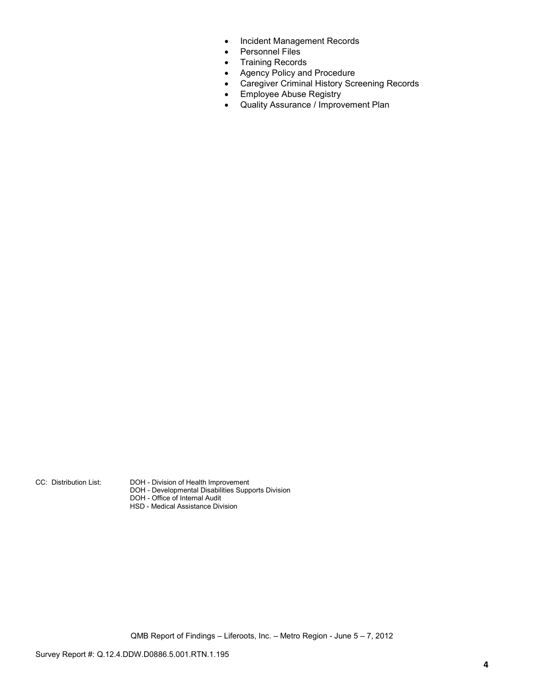- Incident Management Records
- Personnel Files
- Training Records
- Agency Policy and Procedure
- Caregiver Criminal History Screening Records
- Employee Abuse Registry
- Quality Assurance / Improvement Plan

CC: Distribution List: DOH - Division of Health Improvement

- DOH Developmental Disabilities Supports Division
- DOH Office of Internal Audit
	- HSD Medical Assistance Division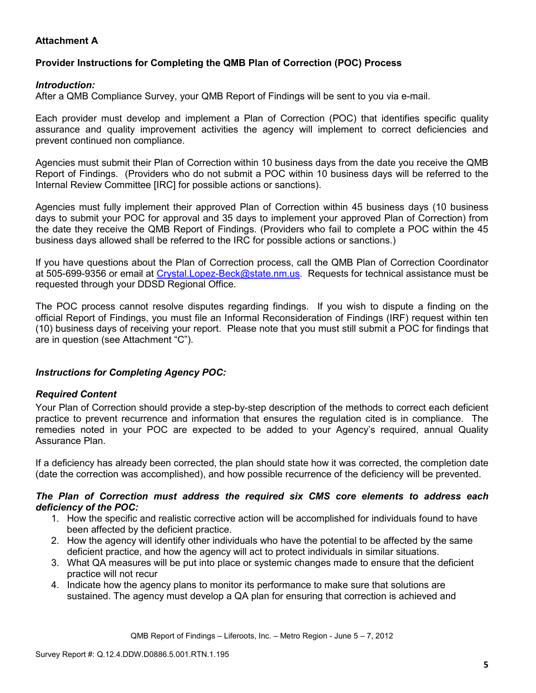# **Attachment A**

# **Provider Instructions for Completing the QMB Plan of Correction (POC) Process**

## *Introduction:*

After a QMB Compliance Survey, your QMB Report of Findings will be sent to you via e-mail.

Each provider must develop and implement a Plan of Correction (POC) that identifies specific quality assurance and quality improvement activities the agency will implement to correct deficiencies and prevent continued non compliance.

Agencies must submit their Plan of Correction within 10 business days from the date you receive the QMB Report of Findings. (Providers who do not submit a POC within 10 business days will be referred to the Internal Review Committee [IRC] for possible actions or sanctions).

Agencies must fully implement their approved Plan of Correction within 45 business days (10 business days to submit your POC for approval and 35 days to implement your approved Plan of Correction) from the date they receive the QMB Report of Findings. (Providers who fail to complete a POC within the 45 business days allowed shall be referred to the IRC for possible actions or sanctions.)

If you have questions about the Plan of Correction process, call the QMB Plan of Correction Coordinator at 505-699-9356 or email at Crystal.Lopez-Beck@state.nm.us. Requests for technical assistance must be requested through your DDSD Regional Office.

The POC process cannot resolve disputes regarding findings. If you wish to dispute a finding on the official Report of Findings, you must file an Informal Reconsideration of Findings (IRF) request within ten (10) business days of receiving your report. Please note that you must still submit a POC for findings that are in question (see Attachment "C").

## *Instructions for Completing Agency POC:*

## *Required Content*

Your Plan of Correction should provide a step-by-step description of the methods to correct each deficient practice to prevent recurrence and information that ensures the regulation cited is in compliance. The remedies noted in your POC are expected to be added to your Agency's required, annual Quality Assurance Plan.

If a deficiency has already been corrected, the plan should state how it was corrected, the completion date (date the correction was accomplished), and how possible recurrence of the deficiency will be prevented.

#### *The Plan of Correction must address the required six CMS core elements to address each deficiency of the POC:*

- 1. How the specific and realistic corrective action will be accomplished for individuals found to have been affected by the deficient practice.
- 2. How the agency will identify other individuals who have the potential to be affected by the same deficient practice, and how the agency will act to protect individuals in similar situations.
- 3. What QA measures will be put into place or systemic changes made to ensure that the deficient practice will not recur
- 4. Indicate how the agency plans to monitor its performance to make sure that solutions are sustained. The agency must develop a QA plan for ensuring that correction is achieved and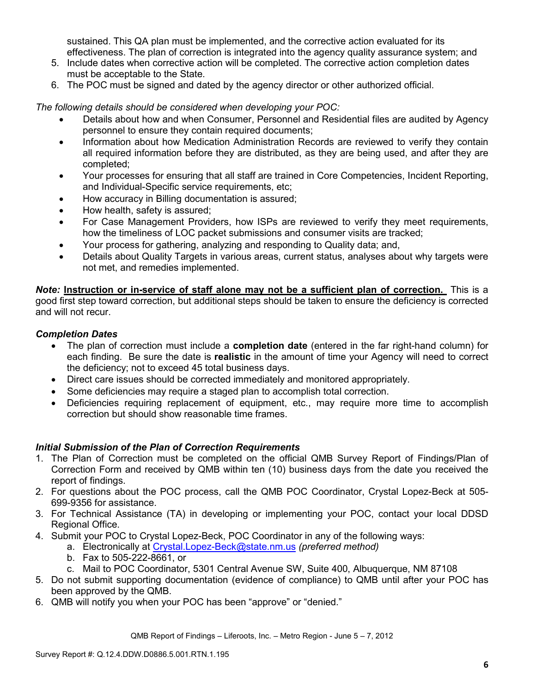sustained. This QA plan must be implemented, and the corrective action evaluated for its effectiveness. The plan of correction is integrated into the agency quality assurance system; and

- 5. Include dates when corrective action will be completed. The corrective action completion dates must be acceptable to the State.
- 6. The POC must be signed and dated by the agency director or other authorized official.

*The following details should be considered when developing your POC:* 

- Details about how and when Consumer, Personnel and Residential files are audited by Agency personnel to ensure they contain required documents;
- Information about how Medication Administration Records are reviewed to verify they contain all required information before they are distributed, as they are being used, and after they are completed;
- Your processes for ensuring that all staff are trained in Core Competencies, Incident Reporting, and Individual-Specific service requirements, etc;
- How accuracy in Billing documentation is assured;
- How health, safety is assured;
- For Case Management Providers, how ISPs are reviewed to verify they meet requirements, how the timeliness of LOC packet submissions and consumer visits are tracked;
- Your process for gathering, analyzing and responding to Quality data; and,
- Details about Quality Targets in various areas, current status, analyses about why targets were not met, and remedies implemented.

*Note:* **Instruction or in-service of staff alone may not be a sufficient plan of correction.** This is a good first step toward correction, but additional steps should be taken to ensure the deficiency is corrected and will not recur.

## *Completion Dates*

- The plan of correction must include a **completion date** (entered in the far right-hand column) for each finding. Be sure the date is **realistic** in the amount of time your Agency will need to correct the deficiency; not to exceed 45 total business days.
- Direct care issues should be corrected immediately and monitored appropriately.
- Some deficiencies may require a staged plan to accomplish total correction.
- Deficiencies requiring replacement of equipment, etc., may require more time to accomplish correction but should show reasonable time frames.

## *Initial Submission of the Plan of Correction Requirements*

- 1. The Plan of Correction must be completed on the official QMB Survey Report of Findings/Plan of Correction Form and received by QMB within ten (10) business days from the date you received the report of findings.
- 2. For questions about the POC process, call the QMB POC Coordinator, Crystal Lopez-Beck at 505- 699-9356 for assistance.
- 3. For Technical Assistance (TA) in developing or implementing your POC, contact your local DDSD Regional Office.
- 4. Submit your POC to Crystal Lopez-Beck, POC Coordinator in any of the following ways:
	- a. Electronically at Crystal.Lopez-Beck@state.nm.us *(preferred method)*
	- b. Fax to 505-222-8661, or
	- c. Mail to POC Coordinator, 5301 Central Avenue SW, Suite 400, Albuquerque, NM 87108
- 5. Do not submit supporting documentation (evidence of compliance) to QMB until after your POC has been approved by the QMB.
- 6. QMB will notify you when your POC has been "approve" or "denied."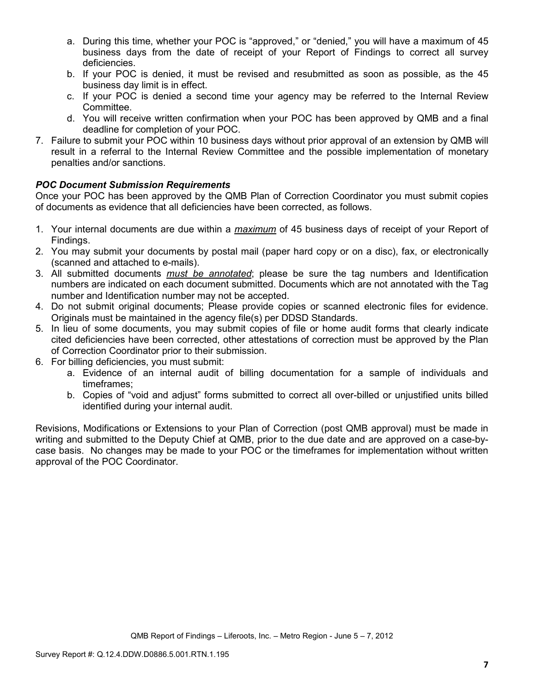- a. During this time, whether your POC is "approved," or "denied," you will have a maximum of 45 business days from the date of receipt of your Report of Findings to correct all survey deficiencies.
- b. If your POC is denied, it must be revised and resubmitted as soon as possible, as the 45 business day limit is in effect.
- c. If your POC is denied a second time your agency may be referred to the Internal Review Committee.
- d. You will receive written confirmation when your POC has been approved by QMB and a final deadline for completion of your POC.
- 7. Failure to submit your POC within 10 business days without prior approval of an extension by QMB will result in a referral to the Internal Review Committee and the possible implementation of monetary penalties and/or sanctions.

# *POC Document Submission Requirements*

Once your POC has been approved by the QMB Plan of Correction Coordinator you must submit copies of documents as evidence that all deficiencies have been corrected, as follows.

- 1. Your internal documents are due within a *maximum* of 45 business days of receipt of your Report of Findings.
- 2. You may submit your documents by postal mail (paper hard copy or on a disc), fax, or electronically (scanned and attached to e-mails).
- 3. All submitted documents *must be annotated*; please be sure the tag numbers and Identification numbers are indicated on each document submitted. Documents which are not annotated with the Tag number and Identification number may not be accepted.
- 4. Do not submit original documents; Please provide copies or scanned electronic files for evidence. Originals must be maintained in the agency file(s) per DDSD Standards.
- 5. In lieu of some documents, you may submit copies of file or home audit forms that clearly indicate cited deficiencies have been corrected, other attestations of correction must be approved by the Plan of Correction Coordinator prior to their submission.
- 6. For billing deficiencies, you must submit:
	- a. Evidence of an internal audit of billing documentation for a sample of individuals and timeframes;
	- b. Copies of "void and adjust" forms submitted to correct all over-billed or unjustified units billed identified during your internal audit.

Revisions, Modifications or Extensions to your Plan of Correction (post QMB approval) must be made in writing and submitted to the Deputy Chief at QMB, prior to the due date and are approved on a case-bycase basis. No changes may be made to your POC or the timeframes for implementation without written approval of the POC Coordinator.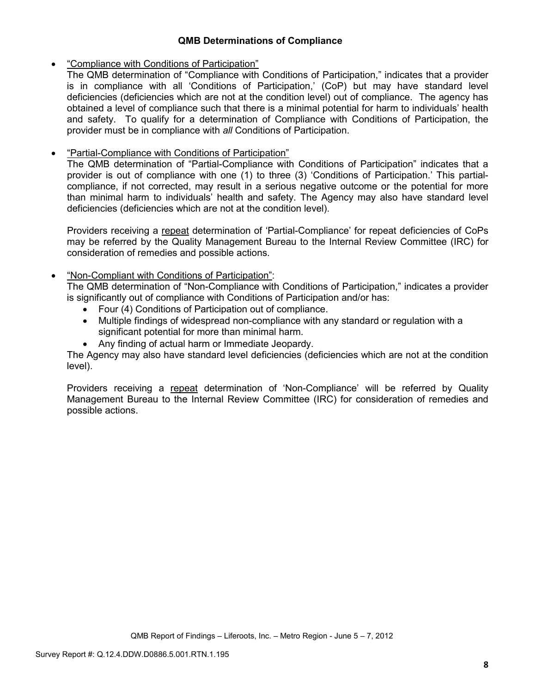## **QMB Determinations of Compliance**

# • "Compliance with Conditions of Participation"

The QMB determination of "Compliance with Conditions of Participation," indicates that a provider is in compliance with all 'Conditions of Participation,' (CoP) but may have standard level deficiencies (deficiencies which are not at the condition level) out of compliance. The agency has obtained a level of compliance such that there is a minimal potential for harm to individuals' health and safety. To qualify for a determination of Compliance with Conditions of Participation, the provider must be in compliance with *all* Conditions of Participation.

# • "Partial-Compliance with Conditions of Participation"

The QMB determination of "Partial-Compliance with Conditions of Participation" indicates that a provider is out of compliance with one (1) to three (3) 'Conditions of Participation.' This partialcompliance, if not corrected, may result in a serious negative outcome or the potential for more than minimal harm to individuals' health and safety. The Agency may also have standard level deficiencies (deficiencies which are not at the condition level).

Providers receiving a repeat determination of 'Partial-Compliance' for repeat deficiencies of CoPs may be referred by the Quality Management Bureau to the Internal Review Committee (IRC) for consideration of remedies and possible actions.

# • "Non-Compliant with Conditions of Participation":

The QMB determination of "Non-Compliance with Conditions of Participation," indicates a provider is significantly out of compliance with Conditions of Participation and/or has:

- Four (4) Conditions of Participation out of compliance.
- Multiple findings of widespread non-compliance with any standard or regulation with a significant potential for more than minimal harm.
- Any finding of actual harm or Immediate Jeopardy.

The Agency may also have standard level deficiencies (deficiencies which are not at the condition level).

Providers receiving a repeat determination of 'Non-Compliance' will be referred by Quality Management Bureau to the Internal Review Committee (IRC) for consideration of remedies and possible actions.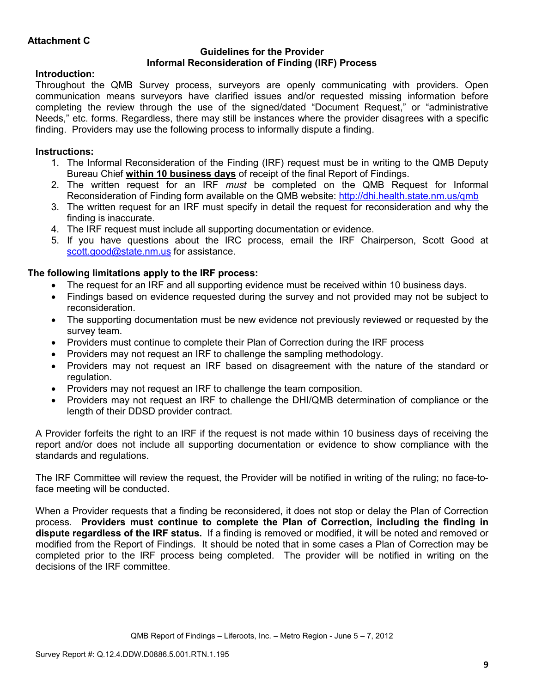### **Guidelines for the Provider Informal Reconsideration of Finding (IRF) Process**

# **Introduction:**

Throughout the QMB Survey process, surveyors are openly communicating with providers. Open communication means surveyors have clarified issues and/or requested missing information before completing the review through the use of the signed/dated "Document Request," or "administrative Needs," etc. forms. Regardless, there may still be instances where the provider disagrees with a specific finding. Providers may use the following process to informally dispute a finding.

# **Instructions:**

- 1. The Informal Reconsideration of the Finding (IRF) request must be in writing to the QMB Deputy Bureau Chief **within 10 business days** of receipt of the final Report of Findings.
- 2. The written request for an IRF *must* be completed on the QMB Request for Informal Reconsideration of Finding form available on the QMB website: http://dhi.health.state.nm.us/qmb
- 3. The written request for an IRF must specify in detail the request for reconsideration and why the finding is inaccurate.
- 4. The IRF request must include all supporting documentation or evidence.
- 5. If you have questions about the IRC process, email the IRF Chairperson, Scott Good at scott.good@state.nm.us for assistance.

# **The following limitations apply to the IRF process:**

- The request for an IRF and all supporting evidence must be received within 10 business days.
- Findings based on evidence requested during the survey and not provided may not be subject to reconsideration.
- The supporting documentation must be new evidence not previously reviewed or requested by the survey team.
- Providers must continue to complete their Plan of Correction during the IRF process
- Providers may not request an IRF to challenge the sampling methodology.
- Providers may not request an IRF based on disagreement with the nature of the standard or regulation.
- Providers may not request an IRF to challenge the team composition.
- Providers may not request an IRF to challenge the DHI/QMB determination of compliance or the length of their DDSD provider contract.

A Provider forfeits the right to an IRF if the request is not made within 10 business days of receiving the report and/or does not include all supporting documentation or evidence to show compliance with the standards and regulations.

The IRF Committee will review the request, the Provider will be notified in writing of the ruling; no face-toface meeting will be conducted.

When a Provider requests that a finding be reconsidered, it does not stop or delay the Plan of Correction process. **Providers must continue to complete the Plan of Correction, including the finding in dispute regardless of the IRF status.** If a finding is removed or modified, it will be noted and removed or modified from the Report of Findings. It should be noted that in some cases a Plan of Correction may be completed prior to the IRF process being completed. The provider will be notified in writing on the decisions of the IRF committee.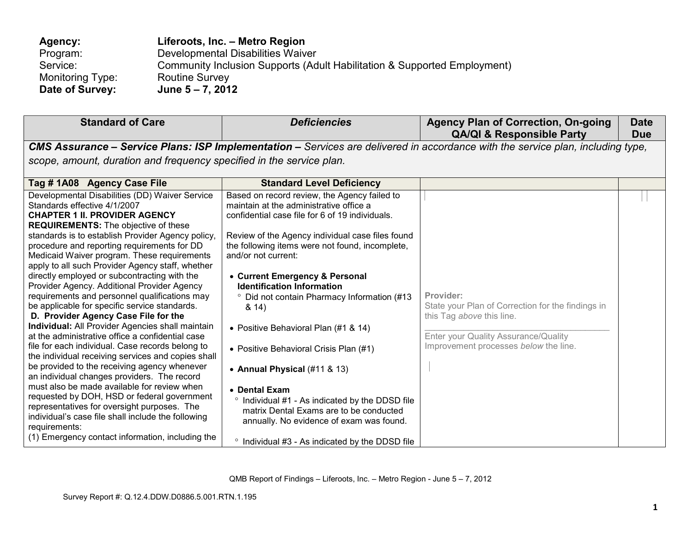| Agency:          | Liferoots, Inc. - Metro Region                                           |
|------------------|--------------------------------------------------------------------------|
| Program:         | Developmental Disabilities Waiver                                        |
| Service:         | Community Inclusion Supports (Adult Habilitation & Supported Employment) |
| Monitoring Type: | <b>Routine Survey</b>                                                    |
| Date of Survey:  | June $5 - 7$ , 2012                                                      |

| <b>Standard of Care</b>                                                                                                                                                                                                                                                                                                                                                                                                                                                                                                                                                                                                                                                                                                                                                                                                                                                                                                                                                                                                                                                                                                                                           | <b>Deficiencies</b>                                                                                                                                                                                                                                                                                                                                                                                                                                                                                                                                                                                                                                                                           | <b>Agency Plan of Correction, On-going</b><br><b>QA/QI &amp; Responsible Party</b>                                                                                           | <b>Date</b><br><b>Due</b> |
|-------------------------------------------------------------------------------------------------------------------------------------------------------------------------------------------------------------------------------------------------------------------------------------------------------------------------------------------------------------------------------------------------------------------------------------------------------------------------------------------------------------------------------------------------------------------------------------------------------------------------------------------------------------------------------------------------------------------------------------------------------------------------------------------------------------------------------------------------------------------------------------------------------------------------------------------------------------------------------------------------------------------------------------------------------------------------------------------------------------------------------------------------------------------|-----------------------------------------------------------------------------------------------------------------------------------------------------------------------------------------------------------------------------------------------------------------------------------------------------------------------------------------------------------------------------------------------------------------------------------------------------------------------------------------------------------------------------------------------------------------------------------------------------------------------------------------------------------------------------------------------|------------------------------------------------------------------------------------------------------------------------------------------------------------------------------|---------------------------|
|                                                                                                                                                                                                                                                                                                                                                                                                                                                                                                                                                                                                                                                                                                                                                                                                                                                                                                                                                                                                                                                                                                                                                                   |                                                                                                                                                                                                                                                                                                                                                                                                                                                                                                                                                                                                                                                                                               | CMS Assurance - Service Plans: ISP Implementation - Services are delivered in accordance with the service plan, including type,                                              |                           |
| scope, amount, duration and frequency specified in the service plan.                                                                                                                                                                                                                                                                                                                                                                                                                                                                                                                                                                                                                                                                                                                                                                                                                                                                                                                                                                                                                                                                                              |                                                                                                                                                                                                                                                                                                                                                                                                                                                                                                                                                                                                                                                                                               |                                                                                                                                                                              |                           |
| Tag #1A08 Agency Case File                                                                                                                                                                                                                                                                                                                                                                                                                                                                                                                                                                                                                                                                                                                                                                                                                                                                                                                                                                                                                                                                                                                                        | <b>Standard Level Deficiency</b>                                                                                                                                                                                                                                                                                                                                                                                                                                                                                                                                                                                                                                                              |                                                                                                                                                                              |                           |
| Developmental Disabilities (DD) Waiver Service<br>Standards effective 4/1/2007<br><b>CHAPTER 1 II. PROVIDER AGENCY</b><br><b>REQUIREMENTS:</b> The objective of these<br>standards is to establish Provider Agency policy,<br>procedure and reporting requirements for DD<br>Medicaid Waiver program. These requirements<br>apply to all such Provider Agency staff, whether<br>directly employed or subcontracting with the<br>Provider Agency. Additional Provider Agency<br>requirements and personnel qualifications may<br>be applicable for specific service standards.<br>D. Provider Agency Case File for the<br><b>Individual:</b> All Provider Agencies shall maintain<br>at the administrative office a confidential case<br>file for each individual. Case records belong to<br>the individual receiving services and copies shall<br>be provided to the receiving agency whenever<br>an individual changes providers. The record<br>must also be made available for review when<br>requested by DOH, HSD or federal government<br>representatives for oversight purposes. The<br>individual's case file shall include the following<br>requirements: | Based on record review, the Agency failed to<br>maintain at the administrative office a<br>confidential case file for 6 of 19 individuals.<br>Review of the Agency individual case files found<br>the following items were not found, incomplete,<br>and/or not current:<br>• Current Emergency & Personal<br><b>Identification Information</b><br><sup>o</sup> Did not contain Pharmacy Information (#13<br>8.14)<br>• Positive Behavioral Plan (#1 & 14)<br>• Positive Behavioral Crisis Plan (#1)<br>• Annual Physical (#11 & 13)<br>• Dental Exam<br>Individual #1 - As indicated by the DDSD file<br>matrix Dental Exams are to be conducted<br>annually. No evidence of exam was found. | Provider:<br>State your Plan of Correction for the findings in<br>this Tag above this line.<br>Enter your Quality Assurance/Quality<br>Improvement processes below the line. |                           |
| (1) Emergency contact information, including the                                                                                                                                                                                                                                                                                                                                                                                                                                                                                                                                                                                                                                                                                                                                                                                                                                                                                                                                                                                                                                                                                                                  | Individual #3 - As indicated by the DDSD file                                                                                                                                                                                                                                                                                                                                                                                                                                                                                                                                                                                                                                                 |                                                                                                                                                                              |                           |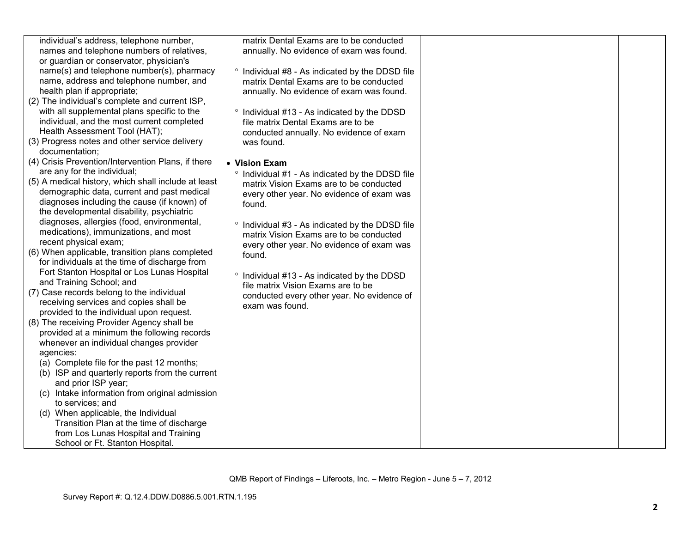| individual's address, telephone number,<br>names and telephone numbers of relatives,<br>or guardian or conservator, physician's<br>name(s) and telephone number(s), pharmacy<br>name, address and telephone number, and<br>health plan if appropriate;<br>(2) The individual's complete and current ISP,<br>with all supplemental plans specific to the<br>individual, and the most current completed<br>Health Assessment Tool (HAT);<br>(3) Progress notes and other service delivery<br>documentation;<br>(4) Crisis Prevention/Intervention Plans, if there<br>are any for the individual;<br>(5) A medical history, which shall include at least<br>demographic data, current and past medical<br>diagnoses including the cause (if known) of<br>the developmental disability, psychiatric<br>diagnoses, allergies (food, environmental,<br>medications), immunizations, and most<br>recent physical exam;<br>(6) When applicable, transition plans completed<br>for individuals at the time of discharge from<br>Fort Stanton Hospital or Los Lunas Hospital<br>and Training School; and<br>(7) Case records belong to the individual<br>receiving services and copies shall be<br>provided to the individual upon request.<br>(8) The receiving Provider Agency shall be<br>provided at a minimum the following records<br>whenever an individual changes provider<br>agencies:<br>(a) Complete file for the past 12 months;<br>(b) ISP and quarterly reports from the current<br>and prior ISP year;<br>(c) Intake information from original admission<br>to services; and<br>(d) When applicable, the Individual<br>Transition Plan at the time of discharge | matrix Dental Exams are to be conducted<br>annually. No evidence of exam was found.<br><sup>o</sup> Individual #8 - As indicated by the DDSD file<br>matrix Dental Exams are to be conducted<br>annually. No evidence of exam was found.<br>° Individual #13 - As indicated by the DDSD<br>file matrix Dental Exams are to be<br>conducted annually. No evidence of exam<br>was found.<br>• Vision Exam<br>° Individual #1 - As indicated by the DDSD file<br>matrix Vision Exams are to be conducted<br>every other year. No evidence of exam was<br>found.<br>° Individual #3 - As indicated by the DDSD file<br>matrix Vision Exams are to be conducted<br>every other year. No evidence of exam was<br>found.<br>° Individual #13 - As indicated by the DDSD<br>file matrix Vision Exams are to be<br>conducted every other year. No evidence of<br>exam was found. |  |
|-----------------------------------------------------------------------------------------------------------------------------------------------------------------------------------------------------------------------------------------------------------------------------------------------------------------------------------------------------------------------------------------------------------------------------------------------------------------------------------------------------------------------------------------------------------------------------------------------------------------------------------------------------------------------------------------------------------------------------------------------------------------------------------------------------------------------------------------------------------------------------------------------------------------------------------------------------------------------------------------------------------------------------------------------------------------------------------------------------------------------------------------------------------------------------------------------------------------------------------------------------------------------------------------------------------------------------------------------------------------------------------------------------------------------------------------------------------------------------------------------------------------------------------------------------------------------------------------------------------------------------------------------------------------------|-------------------------------------------------------------------------------------------------------------------------------------------------------------------------------------------------------------------------------------------------------------------------------------------------------------------------------------------------------------------------------------------------------------------------------------------------------------------------------------------------------------------------------------------------------------------------------------------------------------------------------------------------------------------------------------------------------------------------------------------------------------------------------------------------------------------------------------------------------------------------|--|
| from Los Lunas Hospital and Training<br>School or Ft. Stanton Hospital.                                                                                                                                                                                                                                                                                                                                                                                                                                                                                                                                                                                                                                                                                                                                                                                                                                                                                                                                                                                                                                                                                                                                                                                                                                                                                                                                                                                                                                                                                                                                                                                               |                                                                                                                                                                                                                                                                                                                                                                                                                                                                                                                                                                                                                                                                                                                                                                                                                                                                         |  |
|                                                                                                                                                                                                                                                                                                                                                                                                                                                                                                                                                                                                                                                                                                                                                                                                                                                                                                                                                                                                                                                                                                                                                                                                                                                                                                                                                                                                                                                                                                                                                                                                                                                                       |                                                                                                                                                                                                                                                                                                                                                                                                                                                                                                                                                                                                                                                                                                                                                                                                                                                                         |  |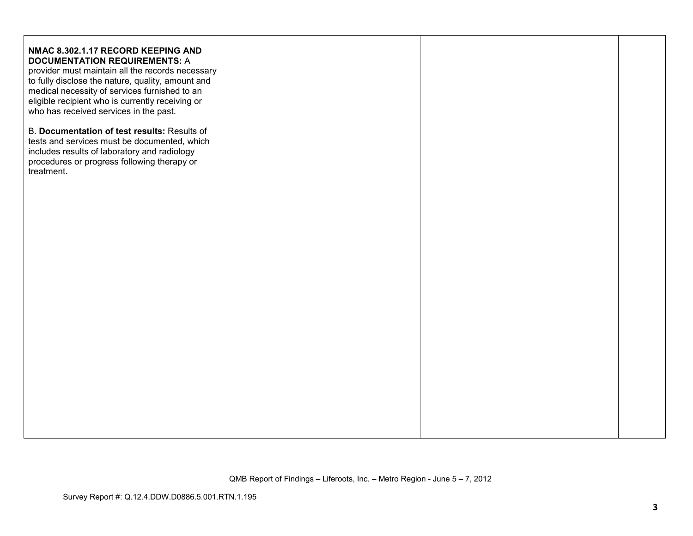| NMAC 8.302.1.17 RECORD KEEPING AND<br><b>DOCUMENTATION REQUIREMENTS: A</b><br>provider must maintain all the records necessary<br>to fully disclose the nature, quality, amount and<br>medical necessity of services furnished to an<br>eligible recipient who is currently receiving or<br>who has received services in the past.<br>B. Documentation of test results: Results of<br>tests and services must be documented, which |  |  |
|------------------------------------------------------------------------------------------------------------------------------------------------------------------------------------------------------------------------------------------------------------------------------------------------------------------------------------------------------------------------------------------------------------------------------------|--|--|
| includes results of laboratory and radiology<br>procedures or progress following therapy or<br>treatment.                                                                                                                                                                                                                                                                                                                          |  |  |
|                                                                                                                                                                                                                                                                                                                                                                                                                                    |  |  |
|                                                                                                                                                                                                                                                                                                                                                                                                                                    |  |  |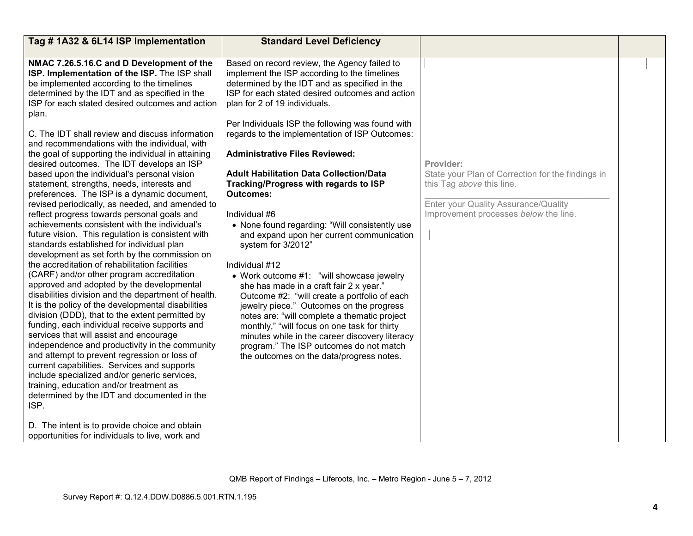| Tag #1A32 & 6L14 ISP Implementation                                                                                                                                                                                                                                                                                                                                                                                                                                                                                                                                                                                                                                                                                                                                                                                                                                                                                                                                                                                                                                                                                                                                                                                                                                                                                                                                                                                                                                                                                                                                                                                                                                       | <b>Standard Level Deficiency</b>                                                                                                                                                                                                                                                                                                                                                                                                                                                                                                                                                                                                                                                                                                                                                                                                                                                                                                                                                                                                                                                     |                                                                                                                                                                              |  |
|---------------------------------------------------------------------------------------------------------------------------------------------------------------------------------------------------------------------------------------------------------------------------------------------------------------------------------------------------------------------------------------------------------------------------------------------------------------------------------------------------------------------------------------------------------------------------------------------------------------------------------------------------------------------------------------------------------------------------------------------------------------------------------------------------------------------------------------------------------------------------------------------------------------------------------------------------------------------------------------------------------------------------------------------------------------------------------------------------------------------------------------------------------------------------------------------------------------------------------------------------------------------------------------------------------------------------------------------------------------------------------------------------------------------------------------------------------------------------------------------------------------------------------------------------------------------------------------------------------------------------------------------------------------------------|--------------------------------------------------------------------------------------------------------------------------------------------------------------------------------------------------------------------------------------------------------------------------------------------------------------------------------------------------------------------------------------------------------------------------------------------------------------------------------------------------------------------------------------------------------------------------------------------------------------------------------------------------------------------------------------------------------------------------------------------------------------------------------------------------------------------------------------------------------------------------------------------------------------------------------------------------------------------------------------------------------------------------------------------------------------------------------------|------------------------------------------------------------------------------------------------------------------------------------------------------------------------------|--|
| NMAC 7.26.5.16.C and D Development of the<br>ISP. Implementation of the ISP. The ISP shall<br>be implemented according to the timelines<br>determined by the IDT and as specified in the<br>ISP for each stated desired outcomes and action<br>plan.<br>C. The IDT shall review and discuss information<br>and recommendations with the individual, with<br>the goal of supporting the individual in attaining<br>desired outcomes. The IDT develops an ISP<br>based upon the individual's personal vision<br>statement, strengths, needs, interests and<br>preferences. The ISP is a dynamic document,<br>revised periodically, as needed, and amended to<br>reflect progress towards personal goals and<br>achievements consistent with the individual's<br>future vision. This regulation is consistent with<br>standards established for individual plan<br>development as set forth by the commission on<br>the accreditation of rehabilitation facilities<br>(CARF) and/or other program accreditation<br>approved and adopted by the developmental<br>disabilities division and the department of health.<br>It is the policy of the developmental disabilities<br>division (DDD), that to the extent permitted by<br>funding, each individual receive supports and<br>services that will assist and encourage<br>independence and productivity in the community<br>and attempt to prevent regression or loss of<br>current capabilities. Services and supports<br>include specialized and/or generic services,<br>training, education and/or treatment as<br>determined by the IDT and documented in the<br>ISP.<br>D. The intent is to provide choice and obtain | Based on record review, the Agency failed to<br>implement the ISP according to the timelines<br>determined by the IDT and as specified in the<br>ISP for each stated desired outcomes and action<br>plan for 2 of 19 individuals.<br>Per Individuals ISP the following was found with<br>regards to the implementation of ISP Outcomes:<br><b>Administrative Files Reviewed:</b><br><b>Adult Habilitation Data Collection/Data</b><br>Tracking/Progress with regards to ISP<br><b>Outcomes:</b><br>Individual #6<br>• None found regarding: "Will consistently use<br>and expand upon her current communication<br>system for 3/2012"<br>Individual #12<br>• Work outcome #1: "will showcase jewelry<br>she has made in a craft fair 2 x year."<br>Outcome #2: "will create a portfolio of each<br>jewelry piece." Outcomes on the progress<br>notes are: "will complete a thematic project<br>monthly," "will focus on one task for thirty<br>minutes while in the career discovery literacy<br>program." The ISP outcomes do not match<br>the outcomes on the data/progress notes. | Provider:<br>State your Plan of Correction for the findings in<br>this Tag above this line.<br>Enter your Quality Assurance/Quality<br>Improvement processes below the line. |  |
| opportunities for individuals to live, work and                                                                                                                                                                                                                                                                                                                                                                                                                                                                                                                                                                                                                                                                                                                                                                                                                                                                                                                                                                                                                                                                                                                                                                                                                                                                                                                                                                                                                                                                                                                                                                                                                           |                                                                                                                                                                                                                                                                                                                                                                                                                                                                                                                                                                                                                                                                                                                                                                                                                                                                                                                                                                                                                                                                                      |                                                                                                                                                                              |  |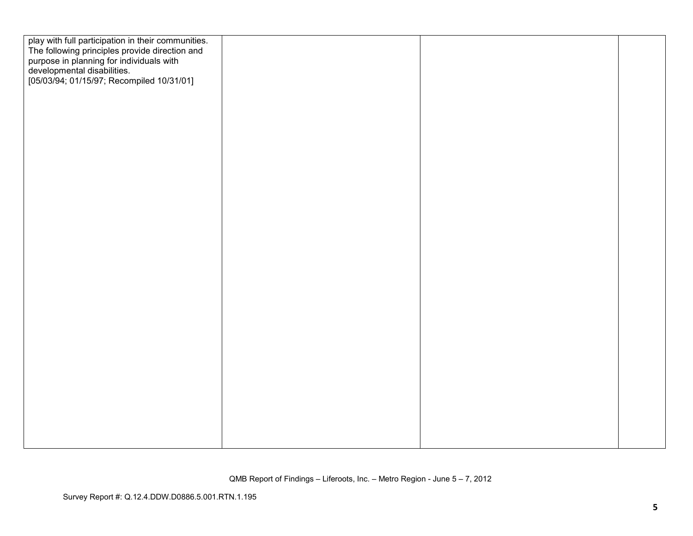| play with full participation in their communities.<br>The following principles provide direction and<br>purpose in planning for individuals with<br>developmental disabilities.<br>[05/03/94; 01/15/97; Recompiled 10/31/01] |  |  |
|------------------------------------------------------------------------------------------------------------------------------------------------------------------------------------------------------------------------------|--|--|
|                                                                                                                                                                                                                              |  |  |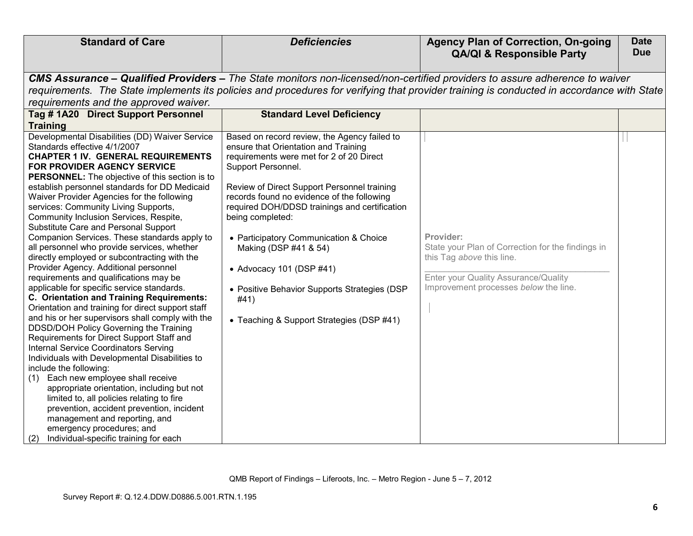| <b>Standard of Care</b>                                                  | <b>Deficiencies</b>                           | <b>Agency Plan of Correction, On-going</b>                                                                                                | <b>Date</b> |
|--------------------------------------------------------------------------|-----------------------------------------------|-------------------------------------------------------------------------------------------------------------------------------------------|-------------|
|                                                                          |                                               | <b>QA/QI &amp; Responsible Party</b>                                                                                                      | <b>Due</b>  |
|                                                                          |                                               |                                                                                                                                           |             |
|                                                                          |                                               | CMS Assurance – Qualified Providers – The State monitors non-licensed/non-certified providers to assure adherence to waiver               |             |
|                                                                          |                                               | requirements. The State implements its policies and procedures for verifying that provider training is conducted in accordance with State |             |
| requirements and the approved waiver.                                    |                                               |                                                                                                                                           |             |
| Tag #1A20 Direct Support Personnel                                       | <b>Standard Level Deficiency</b>              |                                                                                                                                           |             |
| <b>Training</b>                                                          |                                               |                                                                                                                                           |             |
| Developmental Disabilities (DD) Waiver Service                           | Based on record review, the Agency failed to  |                                                                                                                                           |             |
| Standards effective 4/1/2007                                             | ensure that Orientation and Training          |                                                                                                                                           |             |
| <b>CHAPTER 1 IV. GENERAL REQUIREMENTS</b>                                | requirements were met for 2 of 20 Direct      |                                                                                                                                           |             |
| FOR PROVIDER AGENCY SERVICE                                              | Support Personnel.                            |                                                                                                                                           |             |
| PERSONNEL: The objective of this section is to                           |                                               |                                                                                                                                           |             |
| establish personnel standards for DD Medicaid                            | Review of Direct Support Personnel training   |                                                                                                                                           |             |
| Waiver Provider Agencies for the following                               | records found no evidence of the following    |                                                                                                                                           |             |
| services: Community Living Supports,                                     | required DOH/DDSD trainings and certification |                                                                                                                                           |             |
| Community Inclusion Services, Respite,                                   | being completed:                              |                                                                                                                                           |             |
| Substitute Care and Personal Support                                     |                                               |                                                                                                                                           |             |
| Companion Services. These standards apply to                             | • Participatory Communication & Choice        | Provider:                                                                                                                                 |             |
| all personnel who provide services, whether                              | Making (DSP #41 & 54)                         | State your Plan of Correction for the findings in                                                                                         |             |
| directly employed or subcontracting with the                             |                                               | this Tag above this line.                                                                                                                 |             |
| Provider Agency. Additional personnel                                    | • Advocacy 101 (DSP #41)                      |                                                                                                                                           |             |
| requirements and qualifications may be                                   |                                               | Enter your Quality Assurance/Quality                                                                                                      |             |
| applicable for specific service standards.                               | • Positive Behavior Supports Strategies (DSP  | Improvement processes below the line.                                                                                                     |             |
| C. Orientation and Training Requirements:                                | #41)                                          |                                                                                                                                           |             |
| Orientation and training for direct support staff                        |                                               |                                                                                                                                           |             |
| and his or her supervisors shall comply with the                         | • Teaching & Support Strategies (DSP #41)     |                                                                                                                                           |             |
| DDSD/DOH Policy Governing the Training                                   |                                               |                                                                                                                                           |             |
| Requirements for Direct Support Staff and                                |                                               |                                                                                                                                           |             |
| Internal Service Coordinators Serving                                    |                                               |                                                                                                                                           |             |
| Individuals with Developmental Disabilities to<br>include the following: |                                               |                                                                                                                                           |             |
| (1) Each new employee shall receive                                      |                                               |                                                                                                                                           |             |
| appropriate orientation, including but not                               |                                               |                                                                                                                                           |             |
| limited to, all policies relating to fire                                |                                               |                                                                                                                                           |             |
| prevention, accident prevention, incident                                |                                               |                                                                                                                                           |             |
| management and reporting, and                                            |                                               |                                                                                                                                           |             |
| emergency procedures; and                                                |                                               |                                                                                                                                           |             |
| Individual-specific training for each<br>(2)                             |                                               |                                                                                                                                           |             |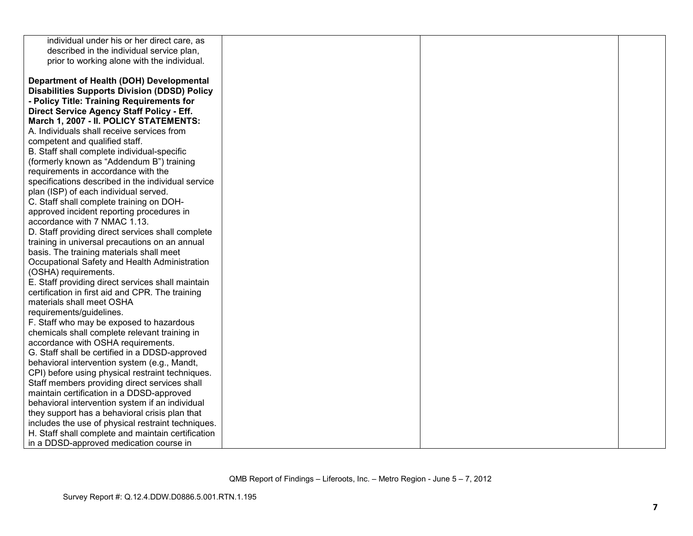| individual under his or her direct care, as         |  |  |
|-----------------------------------------------------|--|--|
| described in the individual service plan,           |  |  |
| prior to working alone with the individual.         |  |  |
|                                                     |  |  |
| Department of Health (DOH) Developmental            |  |  |
| <b>Disabilities Supports Division (DDSD) Policy</b> |  |  |
| - Policy Title: Training Requirements for           |  |  |
| Direct Service Agency Staff Policy - Eff.           |  |  |
| March 1, 2007 - II. POLICY STATEMENTS:              |  |  |
| A. Individuals shall receive services from          |  |  |
| competent and qualified staff.                      |  |  |
| B. Staff shall complete individual-specific         |  |  |
| (formerly known as "Addendum B") training           |  |  |
| requirements in accordance with the                 |  |  |
| specifications described in the individual service  |  |  |
| plan (ISP) of each individual served.               |  |  |
| C. Staff shall complete training on DOH-            |  |  |
| approved incident reporting procedures in           |  |  |
| accordance with 7 NMAC 1.13.                        |  |  |
| D. Staff providing direct services shall complete   |  |  |
| training in universal precautions on an annual      |  |  |
| basis. The training materials shall meet            |  |  |
| Occupational Safety and Health Administration       |  |  |
| (OSHA) requirements.                                |  |  |
| E. Staff providing direct services shall maintain   |  |  |
| certification in first aid and CPR. The training    |  |  |
| materials shall meet OSHA                           |  |  |
| requirements/guidelines.                            |  |  |
| F. Staff who may be exposed to hazardous            |  |  |
| chemicals shall complete relevant training in       |  |  |
| accordance with OSHA requirements.                  |  |  |
| G. Staff shall be certified in a DDSD-approved      |  |  |
| behavioral intervention system (e.g., Mandt,        |  |  |
| CPI) before using physical restraint techniques.    |  |  |
| Staff members providing direct services shall       |  |  |
| maintain certification in a DDSD-approved           |  |  |
| behavioral intervention system if an individual     |  |  |
| they support has a behavioral crisis plan that      |  |  |
| includes the use of physical restraint techniques.  |  |  |
| H. Staff shall complete and maintain certification  |  |  |
| in a DDSD-approved medication course in             |  |  |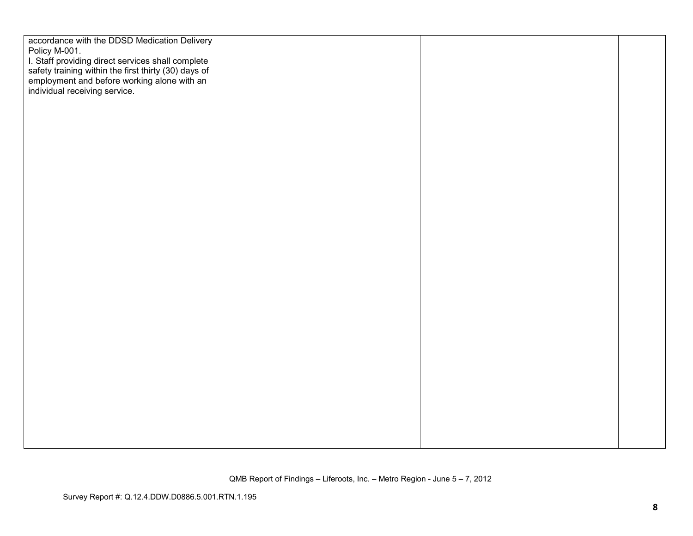| accordance with the DDSD Medication Delivery                                                                                                            |  |  |
|---------------------------------------------------------------------------------------------------------------------------------------------------------|--|--|
| Policy M-001.                                                                                                                                           |  |  |
| I staff providing direct services shall complete<br>safety training within the first thirty (30) days of<br>employment and before working alone with an |  |  |
|                                                                                                                                                         |  |  |
|                                                                                                                                                         |  |  |
| individual receiving service.                                                                                                                           |  |  |
|                                                                                                                                                         |  |  |
|                                                                                                                                                         |  |  |
|                                                                                                                                                         |  |  |
|                                                                                                                                                         |  |  |
|                                                                                                                                                         |  |  |
|                                                                                                                                                         |  |  |
|                                                                                                                                                         |  |  |
|                                                                                                                                                         |  |  |
|                                                                                                                                                         |  |  |
|                                                                                                                                                         |  |  |
|                                                                                                                                                         |  |  |
|                                                                                                                                                         |  |  |
|                                                                                                                                                         |  |  |
|                                                                                                                                                         |  |  |
|                                                                                                                                                         |  |  |
|                                                                                                                                                         |  |  |
|                                                                                                                                                         |  |  |
|                                                                                                                                                         |  |  |
|                                                                                                                                                         |  |  |
|                                                                                                                                                         |  |  |
|                                                                                                                                                         |  |  |
|                                                                                                                                                         |  |  |
|                                                                                                                                                         |  |  |
|                                                                                                                                                         |  |  |
|                                                                                                                                                         |  |  |
|                                                                                                                                                         |  |  |
|                                                                                                                                                         |  |  |
|                                                                                                                                                         |  |  |
|                                                                                                                                                         |  |  |
|                                                                                                                                                         |  |  |
|                                                                                                                                                         |  |  |
|                                                                                                                                                         |  |  |
|                                                                                                                                                         |  |  |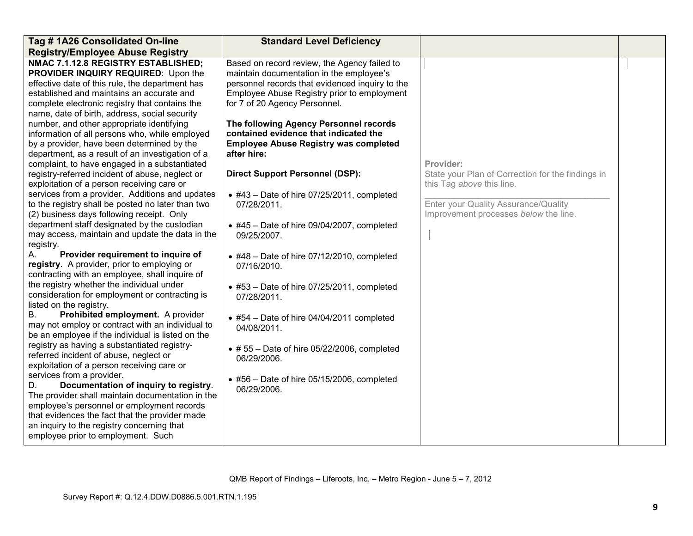| Tag #1A26 Consolidated On-line                                                        | <b>Standard Level Deficiency</b>                    |                                                   |  |
|---------------------------------------------------------------------------------------|-----------------------------------------------------|---------------------------------------------------|--|
| <b>Registry/Employee Abuse Registry</b>                                               |                                                     |                                                   |  |
| NMAC 7.1.12.8 REGISTRY ESTABLISHED;                                                   | Based on record review, the Agency failed to        |                                                   |  |
| PROVIDER INQUIRY REQUIRED: Upon the                                                   | maintain documentation in the employee's            |                                                   |  |
| effective date of this rule, the department has                                       | personnel records that evidenced inquiry to the     |                                                   |  |
| established and maintains an accurate and                                             | Employee Abuse Registry prior to employment         |                                                   |  |
| complete electronic registry that contains the                                        | for 7 of 20 Agency Personnel.                       |                                                   |  |
| name, date of birth, address, social security                                         |                                                     |                                                   |  |
| number, and other appropriate identifying                                             | The following Agency Personnel records              |                                                   |  |
| information of all persons who, while employed                                        | contained evidence that indicated the               |                                                   |  |
| by a provider, have been determined by the                                            | <b>Employee Abuse Registry was completed</b>        |                                                   |  |
| department, as a result of an investigation of a                                      | after hire:                                         |                                                   |  |
| complaint, to have engaged in a substantiated                                         |                                                     | Provider:                                         |  |
| registry-referred incident of abuse, neglect or                                       | <b>Direct Support Personnel (DSP):</b>              | State your Plan of Correction for the findings in |  |
| exploitation of a person receiving care or                                            |                                                     | this Tag above this line.                         |  |
| services from a provider. Additions and updates                                       | $\bullet$ #43 - Date of hire 07/25/2011, completed  |                                                   |  |
| to the registry shall be posted no later than two                                     | 07/28/2011.                                         | Enter your Quality Assurance/Quality              |  |
| (2) business days following receipt. Only                                             |                                                     | Improvement processes below the line.             |  |
| department staff designated by the custodian                                          | $\bullet$ #45 - Date of hire 09/04/2007, completed  |                                                   |  |
| may access, maintain and update the data in the                                       | 09/25/2007.                                         |                                                   |  |
| registry.                                                                             |                                                     |                                                   |  |
| Provider requirement to inquire of<br>А.                                              | $\bullet$ #48 - Date of hire 07/12/2010, completed  |                                                   |  |
| registry. A provider, prior to employing or                                           | 07/16/2010.                                         |                                                   |  |
| contracting with an employee, shall inquire of                                        |                                                     |                                                   |  |
| the registry whether the individual under                                             | $\bullet$ #53 - Date of hire 07/25/2011, completed  |                                                   |  |
| consideration for employment or contracting is                                        | 07/28/2011.                                         |                                                   |  |
| listed on the registry.<br>В.                                                         |                                                     |                                                   |  |
| Prohibited employment. A provider<br>may not employ or contract with an individual to | $\bullet$ #54 - Date of hire 04/04/2011 completed   |                                                   |  |
| be an employee if the individual is listed on the                                     | 04/08/2011.                                         |                                                   |  |
| registry as having a substantiated registry-                                          |                                                     |                                                   |  |
| referred incident of abuse, neglect or                                                | $\bullet$ # 55 - Date of hire 05/22/2006, completed |                                                   |  |
| exploitation of a person receiving care or                                            | 06/29/2006.                                         |                                                   |  |
| services from a provider.                                                             |                                                     |                                                   |  |
| Documentation of inquiry to registry.<br>D.                                           | $\bullet$ #56 - Date of hire 05/15/2006, completed  |                                                   |  |
| The provider shall maintain documentation in the                                      | 06/29/2006.                                         |                                                   |  |
| employee's personnel or employment records                                            |                                                     |                                                   |  |
| that evidences the fact that the provider made                                        |                                                     |                                                   |  |
| an inquiry to the registry concerning that                                            |                                                     |                                                   |  |
| employee prior to employment. Such                                                    |                                                     |                                                   |  |
|                                                                                       |                                                     |                                                   |  |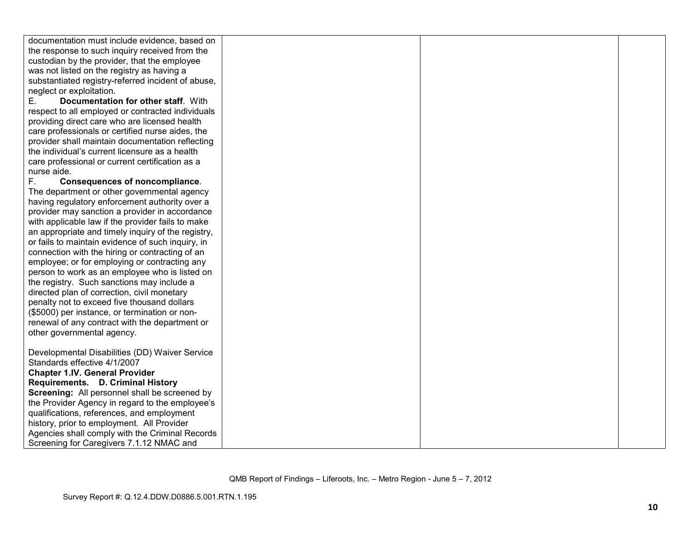| documentation must include evidence, based on      |  |
|----------------------------------------------------|--|
| the response to such inquiry received from the     |  |
| custodian by the provider, that the employee       |  |
| was not listed on the registry as having a         |  |
| substantiated registry-referred incident of abuse, |  |
| neglect or exploitation.                           |  |
| Documentation for other staff. With<br>Е.          |  |
| respect to all employed or contracted individuals  |  |
| providing direct care who are licensed health      |  |
| care professionals or certified nurse aides, the   |  |
| provider shall maintain documentation reflecting   |  |
| the individual's current licensure as a health     |  |
| care professional or current certification as a    |  |
| nurse aide.                                        |  |
| F.<br>Consequences of noncompliance.               |  |
| The department or other governmental agency        |  |
| having regulatory enforcement authority over a     |  |
| provider may sanction a provider in accordance     |  |
| with applicable law if the provider fails to make  |  |
| an appropriate and timely inquiry of the registry, |  |
| or fails to maintain evidence of such inquiry, in  |  |
| connection with the hiring or contracting of an    |  |
| employee; or for employing or contracting any      |  |
| person to work as an employee who is listed on     |  |
| the registry. Such sanctions may include a         |  |
| directed plan of correction, civil monetary        |  |
| penalty not to exceed five thousand dollars        |  |
| (\$5000) per instance, or termination or non-      |  |
| renewal of any contract with the department or     |  |
| other governmental agency.                         |  |
|                                                    |  |
| Developmental Disabilities (DD) Waiver Service     |  |
| Standards effective 4/1/2007                       |  |
| <b>Chapter 1.IV. General Provider</b>              |  |
| Requirements. D. Criminal History                  |  |
| Screening: All personnel shall be screened by      |  |
| the Provider Agency in regard to the employee's    |  |
| qualifications, references, and employment         |  |
| history, prior to employment. All Provider         |  |
| Agencies shall comply with the Criminal Records    |  |
| Screening for Caregivers 7.1.12 NMAC and           |  |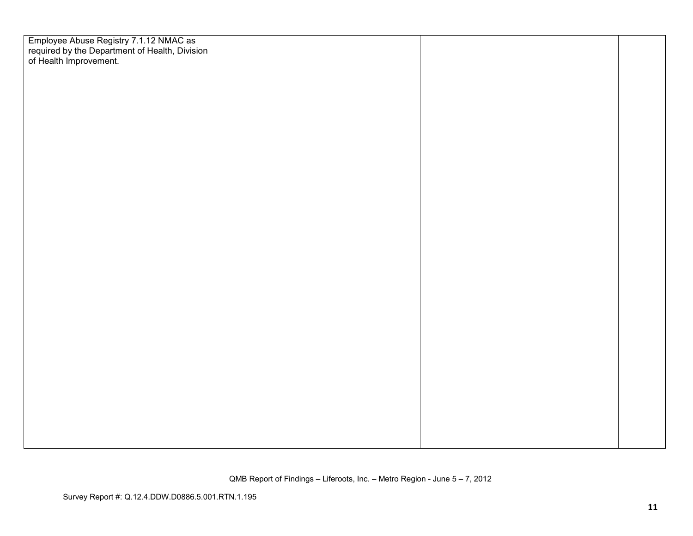| Employee Abuse Registry 7.1.12 NMAC as<br>required by the Department of Health, Division<br>of Health Improvement. |  |  |
|--------------------------------------------------------------------------------------------------------------------|--|--|
|                                                                                                                    |  |  |
|                                                                                                                    |  |  |
|                                                                                                                    |  |  |
|                                                                                                                    |  |  |
|                                                                                                                    |  |  |
|                                                                                                                    |  |  |
|                                                                                                                    |  |  |
|                                                                                                                    |  |  |
|                                                                                                                    |  |  |
|                                                                                                                    |  |  |
|                                                                                                                    |  |  |
|                                                                                                                    |  |  |
|                                                                                                                    |  |  |
|                                                                                                                    |  |  |
|                                                                                                                    |  |  |
|                                                                                                                    |  |  |
|                                                                                                                    |  |  |
|                                                                                                                    |  |  |
|                                                                                                                    |  |  |
|                                                                                                                    |  |  |
|                                                                                                                    |  |  |
|                                                                                                                    |  |  |
|                                                                                                                    |  |  |
|                                                                                                                    |  |  |
|                                                                                                                    |  |  |
|                                                                                                                    |  |  |
|                                                                                                                    |  |  |
|                                                                                                                    |  |  |
|                                                                                                                    |  |  |
|                                                                                                                    |  |  |
|                                                                                                                    |  |  |
|                                                                                                                    |  |  |
|                                                                                                                    |  |  |
|                                                                                                                    |  |  |
|                                                                                                                    |  |  |
|                                                                                                                    |  |  |
|                                                                                                                    |  |  |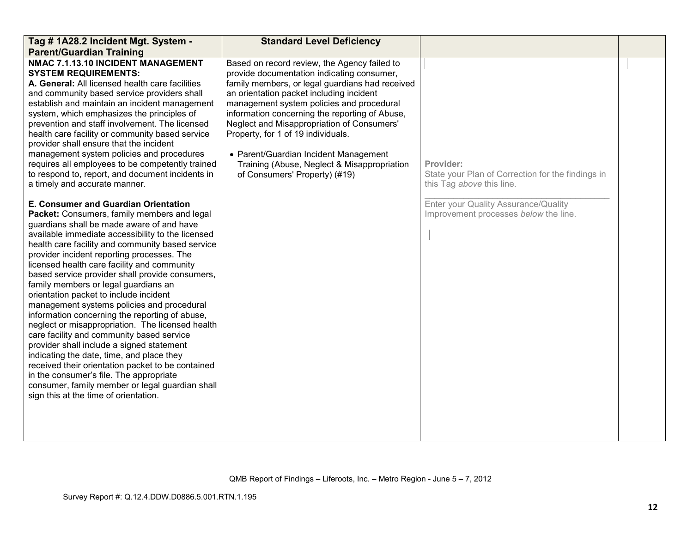| Tag # 1A28.2 Incident Mgt. System -                                                                                                                                                                                                                                                                                                                                                                                                                                                                                                                                                                                                                                                                                                                                                                                                                                                                                                                                | <b>Standard Level Deficiency</b>                                                                                                                                                                                                                                                                                                                                                                                                                                                                      |                                                                                             |  |
|--------------------------------------------------------------------------------------------------------------------------------------------------------------------------------------------------------------------------------------------------------------------------------------------------------------------------------------------------------------------------------------------------------------------------------------------------------------------------------------------------------------------------------------------------------------------------------------------------------------------------------------------------------------------------------------------------------------------------------------------------------------------------------------------------------------------------------------------------------------------------------------------------------------------------------------------------------------------|-------------------------------------------------------------------------------------------------------------------------------------------------------------------------------------------------------------------------------------------------------------------------------------------------------------------------------------------------------------------------------------------------------------------------------------------------------------------------------------------------------|---------------------------------------------------------------------------------------------|--|
| <b>Parent/Guardian Training</b>                                                                                                                                                                                                                                                                                                                                                                                                                                                                                                                                                                                                                                                                                                                                                                                                                                                                                                                                    |                                                                                                                                                                                                                                                                                                                                                                                                                                                                                                       |                                                                                             |  |
| NMAC 7.1.13.10 INCIDENT MANAGEMENT<br><b>SYSTEM REQUIREMENTS:</b><br>A. General: All licensed health care facilities<br>and community based service providers shall<br>establish and maintain an incident management<br>system, which emphasizes the principles of<br>prevention and staff involvement. The licensed<br>health care facility or community based service<br>provider shall ensure that the incident<br>management system policies and procedures<br>requires all employees to be competently trained<br>to respond to, report, and document incidents in<br>a timely and accurate manner.                                                                                                                                                                                                                                                                                                                                                           | Based on record review, the Agency failed to<br>provide documentation indicating consumer,<br>family members, or legal guardians had received<br>an orientation packet including incident<br>management system policies and procedural<br>information concerning the reporting of Abuse,<br>Neglect and Misappropriation of Consumers'<br>Property, for 1 of 19 individuals.<br>• Parent/Guardian Incident Management<br>Training (Abuse, Neglect & Misappropriation<br>of Consumers' Property) (#19) | Provider:<br>State your Plan of Correction for the findings in<br>this Tag above this line. |  |
| E. Consumer and Guardian Orientation<br>Packet: Consumers, family members and legal<br>guardians shall be made aware of and have<br>available immediate accessibility to the licensed<br>health care facility and community based service<br>provider incident reporting processes. The<br>licensed health care facility and community<br>based service provider shall provide consumers,<br>family members or legal guardians an<br>orientation packet to include incident<br>management systems policies and procedural<br>information concerning the reporting of abuse,<br>neglect or misappropriation. The licensed health<br>care facility and community based service<br>provider shall include a signed statement<br>indicating the date, time, and place they<br>received their orientation packet to be contained<br>in the consumer's file. The appropriate<br>consumer, family member or legal guardian shall<br>sign this at the time of orientation. |                                                                                                                                                                                                                                                                                                                                                                                                                                                                                                       | Enter your Quality Assurance/Quality<br>Improvement processes below the line.               |  |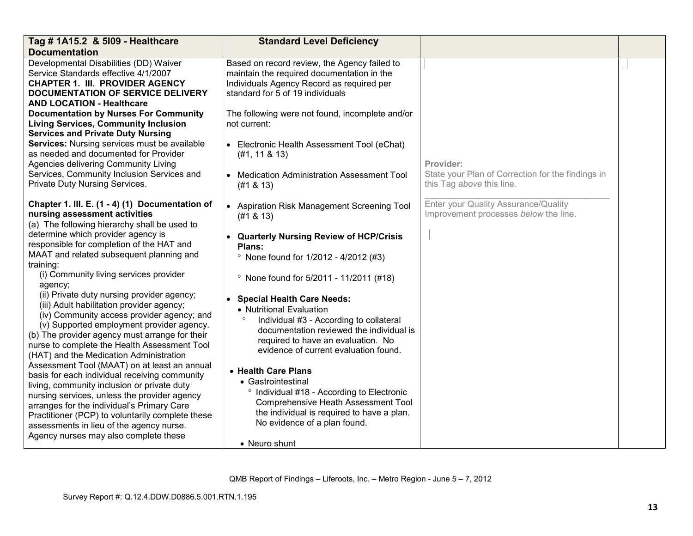| Tag # 1A15.2 & 5109 - Healthcare                                                              | <b>Standard Level Deficiency</b>                      |                                                   |  |
|-----------------------------------------------------------------------------------------------|-------------------------------------------------------|---------------------------------------------------|--|
| <b>Documentation</b>                                                                          |                                                       |                                                   |  |
| Developmental Disabilities (DD) Waiver                                                        | Based on record review, the Agency failed to          |                                                   |  |
| Service Standards effective 4/1/2007                                                          | maintain the required documentation in the            |                                                   |  |
| <b>CHAPTER 1. III. PROVIDER AGENCY</b>                                                        | Individuals Agency Record as required per             |                                                   |  |
| DOCUMENTATION OF SERVICE DELIVERY<br><b>AND LOCATION - Healthcare</b>                         | standard for 5 of 19 individuals                      |                                                   |  |
| <b>Documentation by Nurses For Community</b>                                                  | The following were not found, incomplete and/or       |                                                   |  |
| <b>Living Services, Community Inclusion</b>                                                   | not current:                                          |                                                   |  |
| <b>Services and Private Duty Nursing</b>                                                      |                                                       |                                                   |  |
| Services: Nursing services must be available                                                  | • Electronic Health Assessment Tool (eChat)           |                                                   |  |
| as needed and documented for Provider                                                         | (#1, 11 & 8 & 13)                                     |                                                   |  |
| Agencies delivering Community Living                                                          |                                                       | Provider:                                         |  |
| Services, Community Inclusion Services and                                                    | • Medication Administration Assessment Tool           | State your Plan of Correction for the findings in |  |
| Private Duty Nursing Services.                                                                | (#1 & 8 & 13)                                         | this Tag above this line.                         |  |
|                                                                                               |                                                       |                                                   |  |
| Chapter 1. III. E. (1 - 4) (1) Documentation of                                               | • Aspiration Risk Management Screening Tool           | Enter your Quality Assurance/Quality              |  |
| nursing assessment activities                                                                 | (#1 & 8 & 13)                                         | Improvement processes below the line.             |  |
| (a) The following hierarchy shall be used to                                                  |                                                       |                                                   |  |
| determine which provider agency is<br>responsible for completion of the HAT and               | • Quarterly Nursing Review of HCP/Crisis              |                                                   |  |
| MAAT and related subsequent planning and                                                      | Plans:                                                |                                                   |  |
| training:                                                                                     | <sup>o</sup> None found for 1/2012 - 4/2012 (#3)      |                                                   |  |
| (i) Community living services provider                                                        |                                                       |                                                   |  |
| agency;                                                                                       | <sup>o</sup> None found for 5/2011 - 11/2011 (#18)    |                                                   |  |
| (ii) Private duty nursing provider agency;                                                    | • Special Health Care Needs:                          |                                                   |  |
| (iii) Adult habilitation provider agency;                                                     | • Nutritional Evaluation                              |                                                   |  |
| (iv) Community access provider agency; and                                                    | Individual #3 - According to collateral               |                                                   |  |
| (v) Supported employment provider agency.                                                     | documentation reviewed the individual is              |                                                   |  |
| (b) The provider agency must arrange for their                                                | required to have an evaluation. No                    |                                                   |  |
| nurse to complete the Health Assessment Tool                                                  | evidence of current evaluation found.                 |                                                   |  |
| (HAT) and the Medication Administration                                                       |                                                       |                                                   |  |
| Assessment Tool (MAAT) on at least an annual<br>basis for each individual receiving community | • Health Care Plans                                   |                                                   |  |
| living, community inclusion or private duty                                                   | • Gastrointestinal                                    |                                                   |  |
| nursing services, unless the provider agency                                                  | <sup>o</sup> Individual #18 - According to Electronic |                                                   |  |
| arranges for the individual's Primary Care                                                    | Comprehensive Heath Assessment Tool                   |                                                   |  |
| Practitioner (PCP) to voluntarily complete these                                              | the individual is required to have a plan.            |                                                   |  |
| assessments in lieu of the agency nurse.                                                      | No evidence of a plan found.                          |                                                   |  |
| Agency nurses may also complete these                                                         |                                                       |                                                   |  |
|                                                                                               | • Neuro shunt                                         |                                                   |  |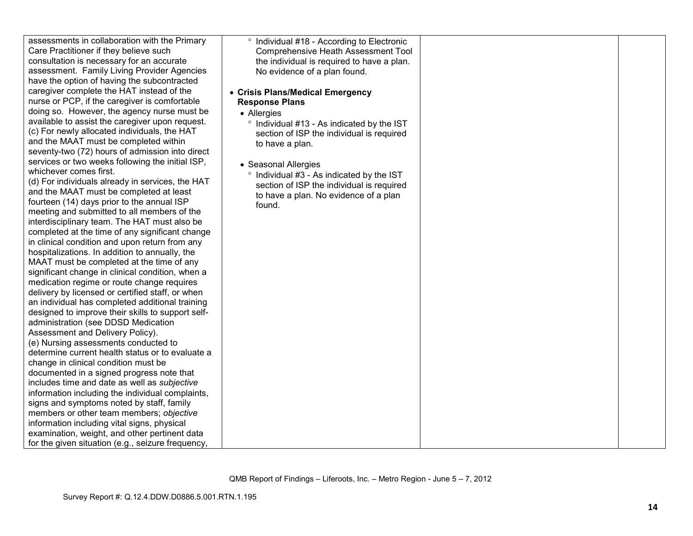| assessments in collaboration with the Primary     | <sup>o</sup> Individual #18 - According to Electronic |  |
|---------------------------------------------------|-------------------------------------------------------|--|
| Care Practitioner if they believe such            | Comprehensive Heath Assessment Tool                   |  |
| consultation is necessary for an accurate         | the individual is required to have a plan.            |  |
| assessment. Family Living Provider Agencies       | No evidence of a plan found.                          |  |
| have the option of having the subcontracted       |                                                       |  |
| caregiver complete the HAT instead of the         | • Crisis Plans/Medical Emergency                      |  |
| nurse or PCP, if the caregiver is comfortable     | <b>Response Plans</b>                                 |  |
| doing so. However, the agency nurse must be       | • Allergies                                           |  |
| available to assist the caregiver upon request.   | ° Individual #13 - As indicated by the IST            |  |
| (c) For newly allocated individuals, the HAT      | section of ISP the individual is required             |  |
| and the MAAT must be completed within             | to have a plan.                                       |  |
| seventy-two (72) hours of admission into direct   |                                                       |  |
| services or two weeks following the initial ISP,  |                                                       |  |
| whichever comes first.                            | • Seasonal Allergies                                  |  |
| (d) For individuals already in services, the HAT  | ° Individual #3 - As indicated by the IST             |  |
| and the MAAT must be completed at least           | section of ISP the individual is required             |  |
| fourteen (14) days prior to the annual ISP        | to have a plan. No evidence of a plan                 |  |
| meeting and submitted to all members of the       | found.                                                |  |
| interdisciplinary team. The HAT must also be      |                                                       |  |
| completed at the time of any significant change   |                                                       |  |
| in clinical condition and upon return from any    |                                                       |  |
| hospitalizations. In addition to annually, the    |                                                       |  |
| MAAT must be completed at the time of any         |                                                       |  |
| significant change in clinical condition, when a  |                                                       |  |
| medication regime or route change requires        |                                                       |  |
| delivery by licensed or certified staff, or when  |                                                       |  |
| an individual has completed additional training   |                                                       |  |
| designed to improve their skills to support self- |                                                       |  |
| administration (see DDSD Medication               |                                                       |  |
| Assessment and Delivery Policy).                  |                                                       |  |
| (e) Nursing assessments conducted to              |                                                       |  |
| determine current health status or to evaluate a  |                                                       |  |
| change in clinical condition must be              |                                                       |  |
| documented in a signed progress note that         |                                                       |  |
| includes time and date as well as subjective      |                                                       |  |
| information including the individual complaints,  |                                                       |  |
| signs and symptoms noted by staff, family         |                                                       |  |
| members or other team members; objective          |                                                       |  |
| information including vital signs, physical       |                                                       |  |
| examination, weight, and other pertinent data     |                                                       |  |
| for the given situation (e.g., seizure frequency, |                                                       |  |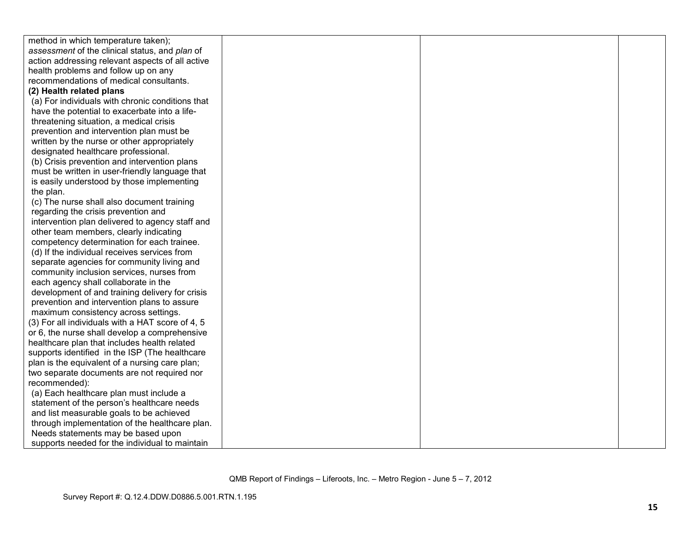| method in which temperature taken);              |  |  |
|--------------------------------------------------|--|--|
| assessment of the clinical status, and plan of   |  |  |
| action addressing relevant aspects of all active |  |  |
| health problems and follow up on any             |  |  |
| recommendations of medical consultants.          |  |  |
| (2) Health related plans                         |  |  |
| (a) For individuals with chronic conditions that |  |  |
| have the potential to exacerbate into a life-    |  |  |
| threatening situation, a medical crisis          |  |  |
| prevention and intervention plan must be         |  |  |
| written by the nurse or other appropriately      |  |  |
| designated healthcare professional.              |  |  |
| (b) Crisis prevention and intervention plans     |  |  |
| must be written in user-friendly language that   |  |  |
| is easily understood by those implementing       |  |  |
| the plan.                                        |  |  |
| (c) The nurse shall also document training       |  |  |
| regarding the crisis prevention and              |  |  |
| intervention plan delivered to agency staff and  |  |  |
| other team members, clearly indicating           |  |  |
| competency determination for each trainee.       |  |  |
| (d) If the individual receives services from     |  |  |
| separate agencies for community living and       |  |  |
| community inclusion services, nurses from        |  |  |
| each agency shall collaborate in the             |  |  |
| development of and training delivery for crisis  |  |  |
| prevention and intervention plans to assure      |  |  |
| maximum consistency across settings.             |  |  |
| (3) For all individuals with a HAT score of 4, 5 |  |  |
| or 6, the nurse shall develop a comprehensive    |  |  |
| healthcare plan that includes health related     |  |  |
| supports identified in the ISP (The healthcare   |  |  |
| plan is the equivalent of a nursing care plan;   |  |  |
| two separate documents are not required nor      |  |  |
| recommended):                                    |  |  |
| (a) Each healthcare plan must include a          |  |  |
| statement of the person's healthcare needs       |  |  |
| and list measurable goals to be achieved         |  |  |
| through implementation of the healthcare plan.   |  |  |
| Needs statements may be based upon               |  |  |
| supports needed for the individual to maintain   |  |  |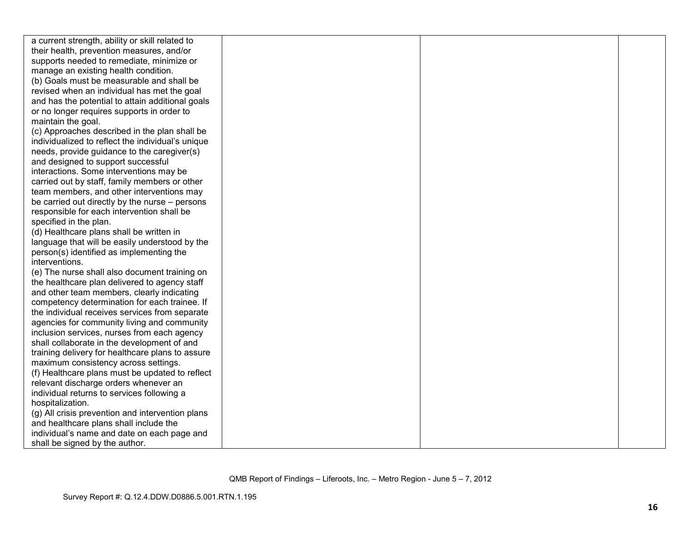| a current strength, ability or skill related to   |  |  |
|---------------------------------------------------|--|--|
| their health, prevention measures, and/or         |  |  |
| supports needed to remediate, minimize or         |  |  |
| manage an existing health condition.              |  |  |
| (b) Goals must be measurable and shall be         |  |  |
| revised when an individual has met the goal       |  |  |
| and has the potential to attain additional goals  |  |  |
| or no longer requires supports in order to        |  |  |
| maintain the goal.                                |  |  |
| (c) Approaches described in the plan shall be     |  |  |
| individualized to reflect the individual's unique |  |  |
| needs, provide guidance to the caregiver(s)       |  |  |
| and designed to support successful                |  |  |
| interactions. Some interventions may be           |  |  |
| carried out by staff, family members or other     |  |  |
| team members, and other interventions may         |  |  |
| be carried out directly by the nurse – persons    |  |  |
| responsible for each intervention shall be        |  |  |
| specified in the plan.                            |  |  |
| (d) Healthcare plans shall be written in          |  |  |
| language that will be easily understood by the    |  |  |
| person(s) identified as implementing the          |  |  |
| interventions.                                    |  |  |
| (e) The nurse shall also document training on     |  |  |
| the healthcare plan delivered to agency staff     |  |  |
| and other team members, clearly indicating        |  |  |
| competency determination for each trainee. If     |  |  |
| the individual receives services from separate    |  |  |
| agencies for community living and community       |  |  |
| inclusion services, nurses from each agency       |  |  |
| shall collaborate in the development of and       |  |  |
| training delivery for healthcare plans to assure  |  |  |
| maximum consistency across settings.              |  |  |
| (f) Healthcare plans must be updated to reflect   |  |  |
| relevant discharge orders whenever an             |  |  |
| individual returns to services following a        |  |  |
| hospitalization.                                  |  |  |
| (g) All crisis prevention and intervention plans  |  |  |
| and healthcare plans shall include the            |  |  |
| individual's name and date on each page and       |  |  |
| shall be signed by the author.                    |  |  |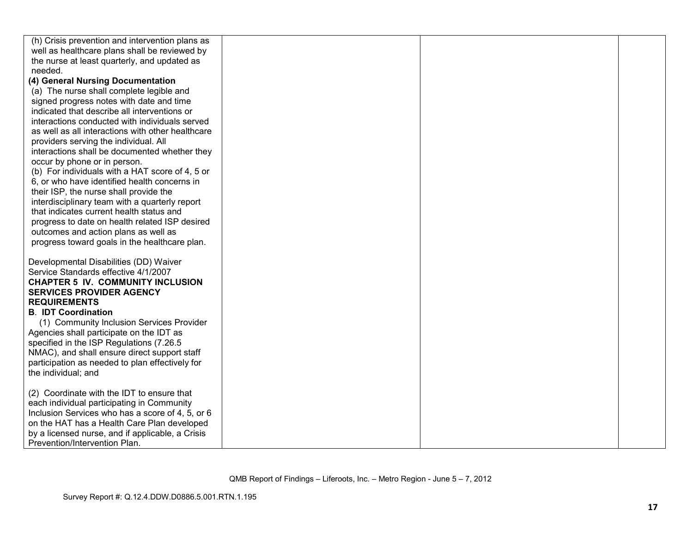| (h) Crisis prevention and intervention plans as                                   |  |  |
|-----------------------------------------------------------------------------------|--|--|
| well as healthcare plans shall be reviewed by                                     |  |  |
| the nurse at least quarterly, and updated as                                      |  |  |
| needed.                                                                           |  |  |
| (4) General Nursing Documentation                                                 |  |  |
| (a) The nurse shall complete legible and                                          |  |  |
| signed progress notes with date and time                                          |  |  |
| indicated that describe all interventions or                                      |  |  |
| interactions conducted with individuals served                                    |  |  |
| as well as all interactions with other healthcare                                 |  |  |
| providers serving the individual. All                                             |  |  |
| interactions shall be documented whether they                                     |  |  |
| occur by phone or in person.                                                      |  |  |
| (b) For individuals with a HAT score of 4, 5 or                                   |  |  |
| 6, or who have identified health concerns in                                      |  |  |
| their ISP, the nurse shall provide the                                            |  |  |
| interdisciplinary team with a quarterly report                                    |  |  |
| that indicates current health status and                                          |  |  |
| progress to date on health related ISP desired                                    |  |  |
| outcomes and action plans as well as                                              |  |  |
| progress toward goals in the healthcare plan.                                     |  |  |
|                                                                                   |  |  |
| Developmental Disabilities (DD) Waiver                                            |  |  |
| Service Standards effective 4/1/2007                                              |  |  |
| <b>CHAPTER 5 IV. COMMUNITY INCLUSION</b>                                          |  |  |
| <b>SERVICES PROVIDER AGENCY</b>                                                   |  |  |
| <b>REQUIREMENTS</b>                                                               |  |  |
| <b>B. IDT Coordination</b>                                                        |  |  |
| (1) Community Inclusion Services Provider                                         |  |  |
| Agencies shall participate on the IDT as                                          |  |  |
| specified in the ISP Regulations (7.26.5)                                         |  |  |
| NMAC), and shall ensure direct support staff                                      |  |  |
| participation as needed to plan effectively for                                   |  |  |
| the individual; and                                                               |  |  |
|                                                                                   |  |  |
| (2) Coordinate with the IDT to ensure that                                        |  |  |
| each individual participating in Community                                        |  |  |
| Inclusion Services who has a score of 4, 5, or 6                                  |  |  |
| on the HAT has a Health Care Plan developed                                       |  |  |
| by a licensed nurse, and if applicable, a Crisis<br>Prevention/Intervention Plan. |  |  |
|                                                                                   |  |  |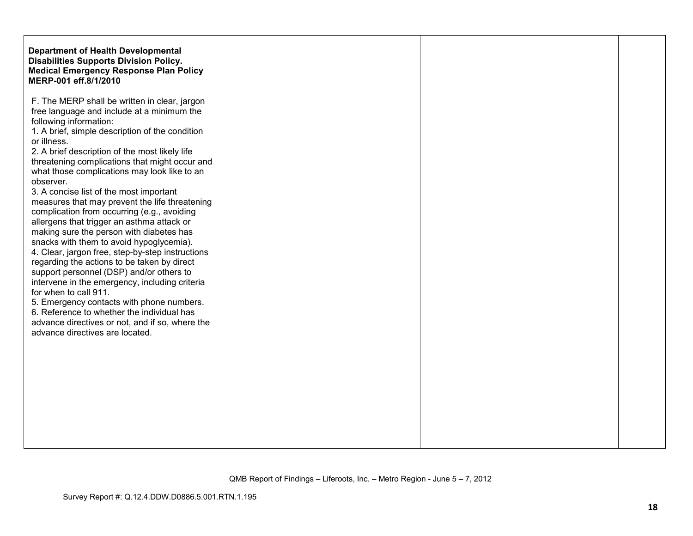| <b>Department of Health Developmental</b><br><b>Disabilities Supports Division Policy.</b><br><b>Medical Emergency Response Plan Policy</b><br>MERP-001 eff.8/1/2010                                                                                                                                                                                                                                                                                                                                                                                                                                                                                                                                                                                                                                                                                                                                                                                                                                                      |
|---------------------------------------------------------------------------------------------------------------------------------------------------------------------------------------------------------------------------------------------------------------------------------------------------------------------------------------------------------------------------------------------------------------------------------------------------------------------------------------------------------------------------------------------------------------------------------------------------------------------------------------------------------------------------------------------------------------------------------------------------------------------------------------------------------------------------------------------------------------------------------------------------------------------------------------------------------------------------------------------------------------------------|
| F. The MERP shall be written in clear, jargon<br>free language and include at a minimum the<br>following information:<br>1. A brief, simple description of the condition<br>2. A brief description of the most likely life<br>threatening complications that might occur and<br>what those complications may look like to an<br>3. A concise list of the most important<br>measures that may prevent the life threatening<br>complication from occurring (e.g., avoiding<br>allergens that trigger an asthma attack or<br>making sure the person with diabetes has<br>snacks with them to avoid hypoglycemia).<br>4. Clear, jargon free, step-by-step instructions<br>regarding the actions to be taken by direct<br>support personnel (DSP) and/or others to<br>intervene in the emergency, including criteria<br>for when to call 911.<br>5. Emergency contacts with phone numbers.<br>6. Reference to whether the individual has<br>advance directives or not, and if so, where the<br>advance directives are located. |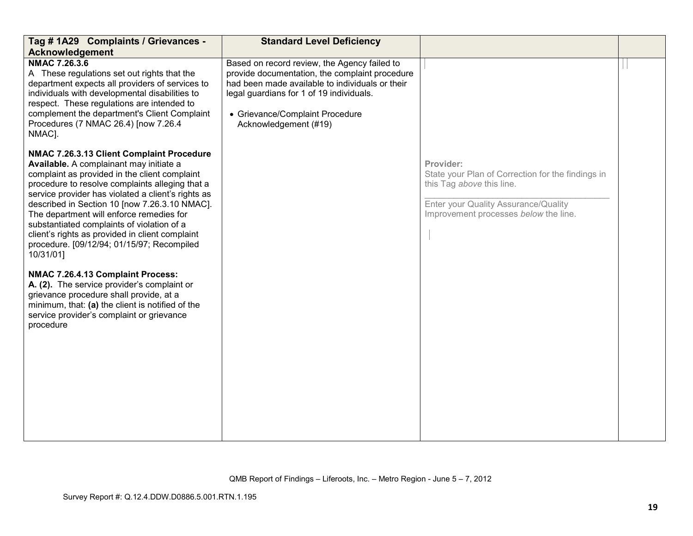| Tag # 1A29 Complaints / Grievances -<br>Acknowledgement                                                                                                                                                                                                                                                                                                                                                                                                                                                 | <b>Standard Level Deficiency</b>                                                                                                                                                                                                                          |                                                                                                                                                                              |  |
|---------------------------------------------------------------------------------------------------------------------------------------------------------------------------------------------------------------------------------------------------------------------------------------------------------------------------------------------------------------------------------------------------------------------------------------------------------------------------------------------------------|-----------------------------------------------------------------------------------------------------------------------------------------------------------------------------------------------------------------------------------------------------------|------------------------------------------------------------------------------------------------------------------------------------------------------------------------------|--|
| NMAC 7.26.3.6<br>A These regulations set out rights that the<br>department expects all providers of services to<br>individuals with developmental disabilities to<br>respect. These regulations are intended to<br>complement the department's Client Complaint<br>Procedures (7 NMAC 26.4) [now 7.26.4<br>NMAC].                                                                                                                                                                                       | Based on record review, the Agency failed to<br>provide documentation, the complaint procedure<br>had been made available to individuals or their<br>legal guardians for 1 of 19 individuals.<br>• Grievance/Complaint Procedure<br>Acknowledgement (#19) |                                                                                                                                                                              |  |
| NMAC 7.26.3.13 Client Complaint Procedure<br>Available. A complainant may initiate a<br>complaint as provided in the client complaint<br>procedure to resolve complaints alleging that a<br>service provider has violated a client's rights as<br>described in Section 10 [now 7.26.3.10 NMAC].<br>The department will enforce remedies for<br>substantiated complaints of violation of a<br>client's rights as provided in client complaint<br>procedure. [09/12/94; 01/15/97; Recompiled<br>10/31/01] |                                                                                                                                                                                                                                                           | Provider:<br>State your Plan of Correction for the findings in<br>this Tag above this line.<br>Enter your Quality Assurance/Quality<br>Improvement processes below the line. |  |
| NMAC 7.26.4.13 Complaint Process:<br>A. (2). The service provider's complaint or<br>grievance procedure shall provide, at a<br>minimum, that: (a) the client is notified of the<br>service provider's complaint or grievance<br>procedure                                                                                                                                                                                                                                                               |                                                                                                                                                                                                                                                           |                                                                                                                                                                              |  |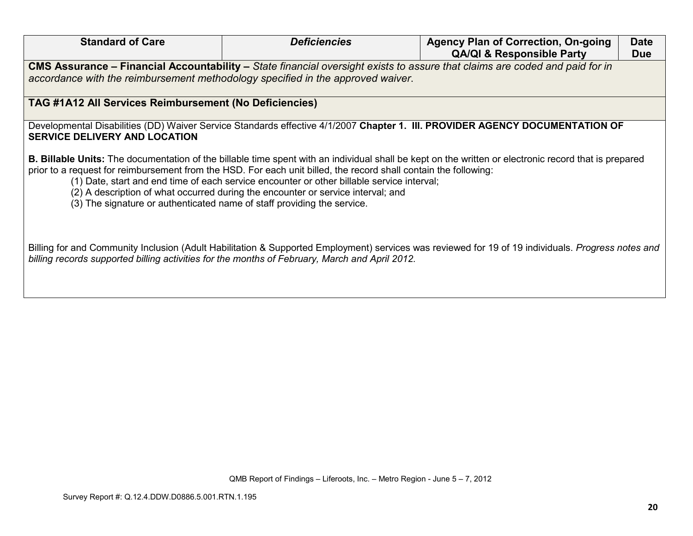| <b>Standard of Care</b>                                                                                                                                                                                                                                              | <b>Deficiencies</b>                                                                                                                                                                                                                                                                                | <b>Agency Plan of Correction, On-going</b>                                                                                                            | <b>Date</b> |
|----------------------------------------------------------------------------------------------------------------------------------------------------------------------------------------------------------------------------------------------------------------------|----------------------------------------------------------------------------------------------------------------------------------------------------------------------------------------------------------------------------------------------------------------------------------------------------|-------------------------------------------------------------------------------------------------------------------------------------------------------|-------------|
| <b>QA/QI &amp; Responsible Party</b><br><b>Due</b><br>CMS Assurance - Financial Accountability - State financial oversight exists to assure that claims are coded and paid for in<br>accordance with the reimbursement methodology specified in the approved waiver. |                                                                                                                                                                                                                                                                                                    |                                                                                                                                                       |             |
| TAG #1A12 All Services Reimbursement (No Deficiencies)                                                                                                                                                                                                               |                                                                                                                                                                                                                                                                                                    |                                                                                                                                                       |             |
| <b>SERVICE DELIVERY AND LOCATION</b>                                                                                                                                                                                                                                 |                                                                                                                                                                                                                                                                                                    | Developmental Disabilities (DD) Waiver Service Standards effective 4/1/2007 Chapter 1. III. PROVIDER AGENCY DOCUMENTATION OF                          |             |
| (3) The signature or authenticated name of staff providing the service.                                                                                                                                                                                              | prior to a request for reimbursement from the HSD. For each unit billed, the record shall contain the following:<br>(1) Date, start and end time of each service encounter or other billable service interval;<br>(2) A description of what occurred during the encounter or service interval; and | B. Billable Units: The documentation of the billable time spent with an individual shall be kept on the written or electronic record that is prepared |             |
| billing records supported billing activities for the months of February, March and April 2012.                                                                                                                                                                       |                                                                                                                                                                                                                                                                                                    | Billing for and Community Inclusion (Adult Habilitation & Supported Employment) services was reviewed for 19 of 19 individuals. Progress notes and    |             |